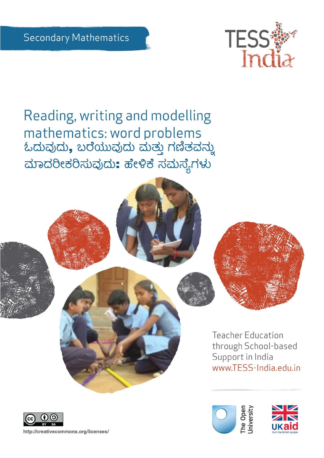

Reading, writing and modelling mathematics: word problems ಓದುವುದು, ಬರೆಯುವುದು ಮತ್ತು ಗಣಿತವನ್ನು ಮಾದರೀಕರಿಸುವುದು: ಹೇಳಿಕೆ ಸಮಸ್ಯೆಗಳು







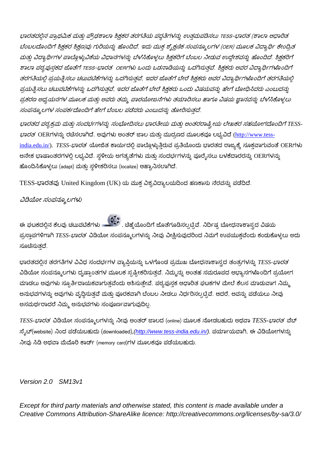ಭಾರತದಲ್ಲಿನ ಪ್ರಾಥಮಿಕ ಮತ್ತು ಪ್ರೌಢಶಾಲಾ ಶಿಕ್ಷಕರ ತರಗತಿಯ ಪದ್ಧತಿಗಳನ್ನು ಉತ್ತಮಪಡಿಸಲು TESS-ಭಾರತ (ಶಾಲಾ ಆಧಾರಿತ ಬೆಂಬಲದೊಂದಿಗೆ ಶ್ರಿಕ್ಷಕರ ಶ್ರಿಕ್ಷಣ)ವು ಗುರಿಯನ್ನು ಹೊಂದಿದೆ. ಇದು ಮುಕ್ತ ಶೈಕ್ಷಣಿಕ ಸಂಪನ್ಮೂಲಗಳ (OER) ಮೂಲಕ ವಿದ್ಯಾರ್ಥಿ ಕೇಂದ್ರಿತ ಮತ್ತು ವಿದ್ಯಾರ್ಥಿಗಳ ಪಾಲ್ಗೊಳ್ಳುವಿಕೆಯ ವಿಧಾನಗಳನ್ನು ಬೆಳೆಸಿಕೊಳ್ಳಲು ಶ್ರಿಕ್ಷಕರಿಗೆ ಬೆಂಬಲ ನೀಡುವ ಉದ್ದೇಶವನ್ನು ಹೊಂದಿದೆ. ಶ್ರಿಕ್ಷಕರಿಗೆ ಶಾಲಾ ಪಠ್ಯಪುಸ್ತಕದ ಜೊತೆಗೆ TESS-ಭಾರತ OERಗಳು ಒಂದು ಒಡನಾಡಿಯನ್ನು ಒದಗಿಸುತ್ತವೆ. ಶ್ರಿಕ್ಷಕರು ಅವರ ವಿದ್ಯಾರ್ಥಿಗಳೊಂದಿಗೆ ತರಗತಿಯಲ್ಲಿ ಪ್ರಯತ್ನಿಸಲು ಚಟುವಟಿಕೆಗಳನ್ನು ಒದಗಿಸುತ್ತವೆ, ಇದರ ಜೊತೆಗೆ ಬೇರೆ ಶ್ರಿಕ್ಷಕರು ಅವರ ವಿದ್ಯಾರ್ಥಿಗಳೊಂದಿಗೆ ತರಗತಿಯಲ್ಲ ಪ್ರಯತ್ನಿಸಲು ಚಟುವಟಿಕೆಗಳನ್ನು ಒದಗಿಸುತ್ತವೆ, ಇದರ ಜೊತೆಗೆ ಬೇರೆ ಶ್ರಿಕ್ಷಕರು ಒಂದು ವಿಷಯವನ್ನು ಹೇಗೆ ಬೋಧಿಸಿದರು ಎಂಬುದನ್ನು ಪ್ರಕರಣ ಅಧ್ಯಯನಗಳ ಮೂಲಕ ಮತ್ತು ಅವರು ತಮ್ಮ ಪಾಠಯೋಜನೆಗಳು ತಯಾರಿಸಲು ಹಾಗೂ ವಿಷಯ ಜ್ಞಾನವನ್ನು ಬೆಳೆಸಿಕೊಳ್ಳಲು ಸಂಪನ್ಮೂಲಗಳ ಸಂಪರ್ಕದೊಂದಿಗೆ ಹೇಗೆ ಬೆಂಬಲ ಪಡೆದರು ಎಂಬುದನ್ನು ತೋರಿಸುತದೆ.

ಭಾರತದ ಪಠ್ಯಕ್ರಮ ಮತ್ತು ಸಂದರ್ಭಗಳನ್ನು ಸಂಭೋದಿಸಲು ಭಾರತೀಯ ಮತ್ತು ಅಂತರರಾಷ್ಟ್ರೀಯ ಲೇಖಕರ ಸಹಯೋಗದೊಂದಿಗೆ TESS-ಭಾರತ OERಗಳನ್ನು ರಚಿಸಲಾಗಿದೆ. ಅವುಗಳು ಅಂತರ್ ಜಾಲ ಮತ್ತು ಮುದ್ರಣದ ಮೂಲಕವೂ ಲಭ್ಯವಿದೆ [\(http://www.tess](http://www.tess-india.edu.in/)[india.edu.in/\)](http://www.tess-india.edu.in/). *TESS-ಭಾರತ* ಯೋಜಿತ ಕಾರ್ಯದಲ್ಲಿ ಪಾಲ್ಗೊಳ್ಳುತ್ತಿರುವ ಪ್ರತಿಯೊಂದು ಭಾರತದ ರಾಜ್ಯಕ್ಕೆ ಸೂಕ್ತವಾಗುವಂತೆ OERಗಳು ಅನೇಕ ಭಾಷಾಂತರಗಳಲ್ಲಿ ಲಭ್ಯವಿದೆ. ಸ್ಥಳೀಯ ಅಗತ್ಯತೆಗಳು ಮತ್ತು ಸಂದರ್ಭಗಳನ್ನು ಪೂರೈಸಲು ಬಳಕೆದಾರರನ್ನು OERಗಳನ್ನು ಹೊಂದಿಸಿಕೊಳ್ಳಲು (adapt) ಮತ್ತು ಸ್ಥಳೀಕರಿಸಲು (localize) ಆಹ್ವಾನಿಸಲಾಗಿದೆ.

TESS-ಭಾರತವು United Kingdom (UK) ಯ ಮುಕ್ತ ವಿಶ್ವವಿದ್ಯಾಲಯದಿಂದ ಹಣಕಾಸು ನೆರವನ್ನು ಪಡೆದಿದೆ.

#### ವಿಡಿಯೋ ಸಂಪನ್ಮೂಲಗಳು

ಈ ಘಟಕದಲ್ಲಿನ ಕೆಲವು ಚಟುವಟಿಕೆಗಳು <u>ಮಾಡಿತು. ಚಿಹ್ನೆ</u>ಯೊಂದಿಗೆ ಜೊತೆಗೂಡಿಸಲ್ಪಟ್ಟಿವೆ. ನಿರ್ದಿಷ್ಟ ಬೋಧನಾಶಾಸ್ತ್ರದ ವಿಷಯ ಪ್ರಸ್ತಾಪಗಳಿಗಾಗಿ TESS-*ಭಾರತ* ವಿಡಿಯೋ ಸಂಪನ್ಮೂಲಗಳನ್ನು ನೀವು ವೀಕ್ಷಿಸುವುದರಿಂದ ನಿಮಗೆ ಉಪಯುಕ್ತವೆಂದು ಕಂಡುಕೊಳ್ಳಲು ಅದು ಸೂಚಿಸುತದೆ.

ಭಾರತದಲ್ಲಿನ ತರಗತಿಗಳ ವಿವಿಧ ಸಂದರ್ಭಗಳ ವ್ಯಾಪ್ತಿಯನ್ನು ಒಳಗೊಂಡ ಪ್ರಮುಖ ಬೋಧನಾಶಾಸ್ತ್ರದ ತಂತ್ರಗಳನ್ನು *TESS-ಭಾರತ* ವಿಡಿಯೋ ಸಂಪನ್ಮೂಲಗಳು ದೃಷ್ಟಾಂತಗಳ ಮೂಲಕ ಸ್ಪಷ್ಟೀಕರಿಸುತ್ತವೆ. ನಿಮ್ಮನ್ನು ಅಂತಹ ಸಮರೂಪದ ಅಭ್ಯಾಸಗಳೊಂದಿಗೆ ಪ್ರಯೋಗ ಮಾಡಲು ಅವುಗಳು ಸ್ಫೂರ್ತಿದಾಯಕವಾಗುತ್ತವೆಂದು ಆಶಿಸುತ್ತೇವೆ. ಪಠ್ಯಪುಸ್ತಕ ಆಧಾರಿತ ಘಟಕಗಳ ಮೇಲೆ ಕೆಲಸ ಮಾಡುವಾಗ ನಿಮ್ಮ ಅನುಭವಗಳನ್ನು ಅವುಗಳು ವೃದ್ಧಿಸುತ್ತವೆ ಮತ್ತು ಪೂರಕವಾಗಿ ಬೆಂಬಲ ನೀಡಲು ನಿರ್ಧರಿಸಲ್ಪಟ್ಟಿವೆ. ಆದರೆ, ಅವನ್ನು ಪಡೆಯಲು ನೀವು ಅಸಮರ್ಥರಾದರೆ ನಿಮ್ಮ ಅನುಭವಗಳು ಸಂಪೂರ್ಣವಾಗುವುದಿಲ್ಲ.

*TESS- TESS-* ನ್ನೆಟ್(website) ನಿಂದ ಪಡೆಯಬಹುದು (downloaded), (http://www.tess-india.edu.in/). ಪರ್ಯಾಯವಾಗಿ, ಈ ವಿಡಿಯೋಗಳನ್ನು ನೀವು ಸಿಡಿ ಅಥವಾ ಮೆಮೊರಿ ಕಾರ್ಡ್ (memory card)ಗಳ ಮೂಲಕವೂ ಪಡೆಯಬಹುದು.

#### *Version 2.0 SM13v1*

*Except for third party materials and otherwise stated, this content is made available under a Creative Commons Attribution-ShareAlike licence: http://creativecommons.org/licenses/by-sa/3.0/*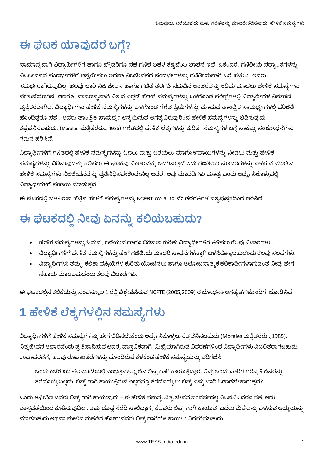# ಈ ಘಟಕ ಯಾವುದರ ಬಗ್ಗೆ?

ಸಾಮಾನ್ಯವಾಗಿ ವಿದ್ಯಾರ್ಥಿಗಳಿಗೆ ಹಾಗೂ ಪ್ರೌಢರಿಗೂ ಸಹ ಗಣಿತ ಬಹಳ ಕಷ್ಟವೆಂಬ ಭಾವನೆ ಇದೆ. ಏಕೆಂದರೆ, ಗಣಿತೀಯ ಸತ್ಯಾಂಶಗಳನ್ನು ನಿಜಜೀವನದ ಸಂದರ್ಭಗಳಿಗೆ ಅನ್ವಯಿಸಲು ಅಥವಾ ನಿಜಜೀವನದ ಸಂದರ್ಭಗಳನ್ನು ಗಣಿತೀಯವಾಗಿ ಒರೆ ಹಚ್ಚಲು ಅವರು ಸಮರ್ಥರಾಗಿರುವುದಿಲ್ಲ. ಹಲವು ಬಾರಿ ನಿಜ ಜೀವನ ಹಾಗೂ ಗಣಿತ ತರಗತಿ ನಡುವಿನ ಅಂತರವನ್ನು ಕಡಿಮೆ ಮಾಡಲು ಹೇಳಿಕೆ ಸಮಸ್ಯೆಗಳು ಸೇತುವೆಯಾಗಿವೆ. ಆದರೂ, ಸಾಮಾನ್ಯವಾಗಿ ವಿಶ್ವದ ಎಲ್ಲೆಡೆ ಹೇಳಿಕೆ ಸಮಸ್ಯೆಗಳನ್ನು ಒಳಗೊಂಡ ಪರೀಕ್ಷೆಗಳಲ್ಲಿ ವಿದ್ಯಾರ್ಥಿಗಳ ನಿರ್ವಹಣೆ ತೃಪ್ತಿಕರವಾಗಿಲ್ಲ. ವಿದ್ಯಾರ್ಥಿಗಳು ಹೇಳಿಕೆ ಸಮಸ್ಯೆಗಳನ್ನು ಒಳಗೊಂಡ ಗಣಿತ ಕ್ರಿಯೆಗಳನ್ನು ಮಾಡುವ ತಾಂತ್ರಿಕ ಸಾಮರ್ಥ್ಯಗಳಲ್ಲಿ ಪರಿಣಿತಿ ಹೊಂದಿದ್ದರೂ ಸಹ , ಅವರು ತಾಂತ್ರಿಕ ಸಾಮರ್ಥ್ಯ ಅನ್ವಯಿಸುವ ಅಗತ್ಯವಿರುವುರಿಂದ ಹೇಳಿಕೆ ಸಮಸ್ಯೆಗಳನ್ನು ಬಿಡಿಸುವುದು ಕಷ್ಟವೆನಿಸಬಹುದು. (Morales ಮತ್ತಿತರರು… 1985) ಗಣಿತದಲ್ಲಿ ಹೇಳಿಕೆ ಲೆಕ್ಕಗಳನ್ನು ಕುರಿತ ಸಮಸ್ಯೆಗಳ ಬಗ್ಗೆ ಸಾಕಷ್ಟು ಸಂಶೋಧನೆಗಳು ಗಮನ ಹರಿಸಿವೆ.

ವಿದ್ಯಾರ್ಥಿಗಳಿಗೆ ಗಣಿತದಲ್ಲಿ ಹೇಳಿಕೆ ಸಮಸ್ಯೆಗಳನ್ನು ಓದಲು ಮತ್ತು ಬರೆಯಲು ಮಾರ್ಗೋಪಾಯಗಳನ್ನು ನೀಡಲು ಮತ್ತು ಹೇಳಿಕೆ ಸಮಸ್ಯಗೆಳನ್ನು ಬಿಡಿಸುವುದನ್ನು ಕಲಿಸಲು ಈ ಘಟಕವು ವಿಚಾರವನ್ನು ಒದಗಿಸುತ್ತದೆ.ಇದು ಗಣಿತೀಯ ಮಾದರಿಗಳನ್ನು ಬಳಸುವ ಮುಖೇನ ಹೇಳಿಕೆ ಸಮಸ್ಯೆಗಳು ನಿಜಜೀವನವನ್ನು ಪ್ರತಿನಿಧಿಸಬೇಕೆಂದೇನಿಲ್ಲ ಆದರೆ, ಅವು ಮಾದರಿಗಳು ಮಾತ್ರ ಎಂದು ಅರ್ಥ್ಯೆಸಿಕೊಳ್ಳುವಲ್ಲಿ ವಿದ್ಯಾರ್ಥಿಗಳಿಗೆ ಸಹಾಯ ಮಾಡುತ್ತವೆ.

ಈ ಘಟಕದಲ್ಲಿ ಬಳಸಿರುವ ಹೆಚ್ಚಿನ ಹೇಳಿಕೆ ಸಮಸ್ಯೆಗಳನ್ನು NCERT ಯ 9, 10 ನೇ ತರಗತಿಗಳ ಪಠ್ಯಪುಸ್ತಕದಿಂದ ಆರಿಸಿದೆ.

# ಈ ಘಟಕದಲ್ಲಿ ನೀವು ಏನನ್ನು ಕಲಿಯಬಹುದು?

- ಹೇಳಿಕೆ ಸಮಸ್ಯೆಗಳನ್ನು ಓದುವ , ಬರೆಯುವ ಹಾಗೂ ಬಿಡಿಸುವ ಕುರಿತು ವಿದ್ಯಾರ್ಥಿಗಳಿಗೆ ತಿಳಿಸಲು ಕೆಲವು ವಿಚಾರಗಳು .
- ವಿದ್ಯಾರ್ಥಿಗಳಿಗೆ ಹೇಳಿಕೆ ಸಮಸ್ಯೆಗಳನ್ನು ಹೇಗೆ ಗಣಿತೀಯ ಮಾದರಿ ಸಾಧನಗಳನ್ನಾಗಿ ಬಳಸಿಕೊಳ್ಳಬಹುದೆಂದು ಕೆಲವು ಸಲಹೆಗಳು.
- ವಿದ್ಯಾರ್ಥಿಗಳು ತಮ್ಮ<sub>,</sub> ಕಲಿಕಾ ಪ್ರಕ್ರಿಯೆಗಳ ಕುರಿತು ಯೋಚಿಸಲು ಹಾಗೂ ಆಲೋಚನಾತ್ಮಕ ಕಲಿಕಾರ್ಥಿಗಳಾಗುವಂತೆ ನೀವು ಹೇಗೆ ಸಹಾಯ ಮಾಡಬಹುದೆಂದು ಕೆಲವು ವಿಚಾರಗಳು.

ಈ ಘಟಕದಲ್ಲಿನ ಕಲಿಕೆಯನ್ನು ಸಂಪನ್ಮೂಲ 1 ರಲ್ಲಿ ವಿಶ್ಲೇಷಿಸಿರುವ NCFTE (2005,2009) ರ ಬೋಧನಾ ಅಗತ್ಯತೆಗಳೊಂದಿಗೆ ಜೋಡಿಸಿದೆ.

# 1 ಹೇಳಿಕೆ ಲೆಕ್ಕಗಳಲ್ಲಿನ ಸಮಸ್ಯೆಗಳು

ವಿದ್ಯಾರ್ಥಿಗಳಿಗೆ ಹೇಳಿಕೆ ಸಮಸ್ಯೆಗಳನ್ನು ಹೇಗೆ ಬಿಡಿಸಬೇಕೆಂದು ಅರ್ಥೈಸಿಕೊಳ್ಳಲು ಕಷ್ಟವೆನಿಸಬಹುದು (Morales ಮತ್ತಿತರರು..,1985). ನಿತ್ಯಜೀವನ ಆಧಾರವೆಂದು ಪ್ರತಿಪಾದಿಸುವ ಆದರೆ, ವಾಸ್ತವಿಕವಾಗಿ ಮಿಥ್ಯೆಯಾಗಿರುವ ವಿವರಣೆಗಳಿಂದ ವಿದ್ಯಾರ್ಥಿಗಳು ವಿಚಲಿತರಾಗಬಹುದು. ಉದಾಹರಣೆಗೆ, ಹಲವು ರೂಪಾಂತರಗಳನ್ನು ಹೊಂದಿರುವ ಕೆಳಕಂಡ ಹೇಳಿಕೆ ಸಮಸ್ಯೆಯನ್ನು ಪರಿಗಣಿಸಿ

ಒಂದು ಕಚೇರಿಯ ನೆಲಮಹಡಿಯಲ್ಲಿ ಎಂಭತ್ತನಾಲ್ಕು ಜನ ಲಿಪ್ಸ್ ಗಾಗಿ ಕಾಯುತ್ತಿದ್ದಾರೆ. ಲಿಪ್ಸ್ ಒಂದು ಬಾರಿಗೆ ಗರಿಷ್ಟ 9 ಜನರನ್ನು ಕರೆದೊಯ್ಯಬಲ್ಲದು. ಲಿಪ್ಟ್ ಗಾಗಿ ಕಾಯುತ್ತಿರುವ ಎಲ್ಲರನ್ನೂ ಕರೆದೊಯ್ಯಲು ಲಿಪ್ಟ್ ಎಷ್ಟು ಬಾರಿ ಓಡಾಡಬೇಕಾಗುತ್ತದೆ?

ಒಂದು ಆಫೀಸಿನ ಜನರು ಲಿಪ್ಟ್ ಗಾಗಿ ಕಾಯುವುದು – ಈ ಹೇಳಿಕೆ ಸಮಸ್ಯೆ ನಿತ್ಯ ಜೀವನ ಸಂದರ್ಭದಲ್ಲಿ ನಿಜವೆನಿಸಿದರೂ ಸಹ, ಅದು ವಾಸ್ತವತೆಯಿಂದ ಕೂಡಿರುವುದಿಲ್ಲ.. ಅಷ್ಟು ದೊಡ್ಡ ಸರದಿ ಸಾಲಿದ್ದಾಗ , ಕೆಲವರು ಲಿಪ್ಟ್ ಗಾಗಿ ಕಾಯುವ ಬದಲು ಮೆಟ್ಟಿಲನ್ನು ಬಳಸುವ ಆಯ್ಕೆಯನ್ನು ಮಾಡಬಹುದು ಅಥವಾ ಮೇಲಿನ ಮಹಡಿಗೆ ಹೋಗುವವರು ಲಿಪ್ಟ್ ಗಾಗಿಯೇ ಕಾಯಲು ನಿರ್ಧರಿಸಬಹುದು.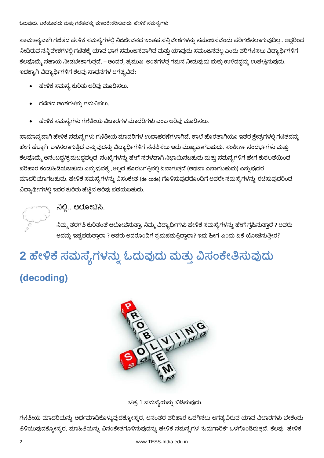ಸಾಮಾನ್ಯವಾಗಿ ಗಣಿತದ ಹೇಳಿಕೆ ಸಮಸ್ಯೆಗಳಲ್ಲಿ ನಿಜಜೀವನದ ಇಂತಹ ಸನ್ನಿವೇಶಗಳನ್ನು ಸಮಂಜಸವೆಂದು ಪರಿಗಣಿಸಲಾಗುವುದಿಲ್ಲ.. ಆದ್ದರಿಂದ ನೀಡಿರುವ ಸನ್ನಿವೇಶಗಳಲ್ಲಿ ಗಣಿತಕ್ಕೆ ಯಾವ ಭಾಗ ಸಮಂಜಸವಾಗಿದೆ ಮತ್ತು ಯಾವುದು ಸಮಂಜಸವಲ್ಲ ಎಂದು ಪರಿಗಣಿಸಲು ವಿದ್ಯಾರ್ಥಿಗಳಿಗೆ ಕೆಲವೊಮ್ಮೆ ಸಹಾಯ ನೀಡಬೇಕಾಗುತ್ತದೆ. – ಅಂದರೆ, ಪ್ರಮುಖ ಅಂಶಗಳತ್ತ ಗಮನ ನೀಡುವುದು ಮತ್ತು ಉಳಿದದ್ದನ್ನು ಉಪೇಕ್ಷಿಸುವುದು. ಇದಕ್ಕಾಗಿ ವಿದ್ಯಾರ್ಥಿಗಳಿಗೆ ಕೆಲವು ಸಾಧನಗಳ ಅಗತ್ಯವಿದೆ:

- ಹೇಳಿಕೆ ಸಮಸ್ಯೆ ಕುರಿತು ಅರಿವು ಮೂಡಿಸಲು.
- ಗಣಿತದ ಅಂಶಗಳನ್ನು ಗಮನಿಸಲು.
- ಹೇಳಿಕೆ ಸಮಸ್ಯೆಗಳು ಗಣಿತೀಯ ವಿಚಾರಗಳ ಮಾದರಿಗಳು ಎಂಬ ಅರಿವು ಮೂಡಿಸಲು.

ಸಾಮಾನ್ಯವಾಗಿ ಹೇಳಿಕೆ ಸಮಸ್ಯೆಗಳು ಗಣಿತೀಯ ಮಾದರಿಗಳ ಉದಾಹರಣೆಗಳಾಗಿವೆ. ಶಾಲೆ ಹೊರತಾಗಿಯೂ ಇತರ ಕ್ಷೇತ್ರಗಳಲ್ಲಿ ಗಣಿತವನ್ನು ಹೇಗೆ ಹೆಚ್ಚಾಗಿ ಬಳಸಲಾಗುತ್ತಿದೆ ಎನ್ನುವುದನ್ನು ವಿದ್ಯಾರ್ಥಿಗಳಿಗೆ ನೆನಪಿಸಲು ಇದು ಮುಖ್ಯವಾಗಬಹುದು. ಸಂಕೀರ್ಣ ಸಂದರ್ಭಗಳು ಮತ್ತು ಕೆಲವೊಮ್ಮೆ ಅಸಂಬದ್ಧ/ಕ್ರಮಬದ್ಧವಲ್ಲದ ಸಂಖ್ಯೆಗಳನ್ನು ಹೇಗೆ ಸರಳವಾಗಿ ನಿಭಾಯಿಸಬಹುದು ಮತ್ತು ಸಮಸ್ಯೆಗಳಿಗೆ ಹೇಗೆ ಕುಶಲತೆಯಿಂದ ಪರಿಹಾರ ಕಂಡುಹಿಡಿಯಬಹುದು ಎನ್ನುವುದಕ್ಕೆ ,ಅಲ್ಲದೆ ಹೊರಜಗತ್ತಿನಲ್ಲಿ ಏನಾಗುತ್ತದೆ (ಅಥವಾ ಏನಾಗಬಹುದು) ಎನ್ನುವುದರ ಮಾದರಿಯಾಗಬಹುದು. ಹೇಳಿಕೆ ಸಮಸ್ಯೆಗಳನ್ನು ವಿಸಂಕೇತ (de code) ಗೊಳಿಸುವುದರೊಂದಿಗೆ ಅವರೇ ಸಮಸ್ಯೆಗಳನ್ನು ರಚೆಸುವುದರಿಂದ ವಿದ್ಯಾರ್ಥಿಗಳಲ್ಲಿ ಇದರ ಕುರಿತು ಹೆಚ್ಚಿನ ಅರಿವು ಪಡೆಯಬಹುದು.

ನಿಲ್ಲಿ.. ಆಲೋಚಿಸಿ.

ನಿಮ್ಮ ತರಗತಿ ಕುರಿತಂತೆ ಆಲೋಚಿಸುತ್ತಾ, ನಿಮ್ಮ ವಿದ್ಯಾರ್ಥಿಗಳು ಹೇಳಿಕೆ ಸಮಸ್ಯೆಗಳನ್ನು ಹೇಗೆ ಗ್ರಹಿಸುತ್ತಾರೆ ? ಅವರು ಅದನ್ನು ಇಷ್ಟಪಡುತ್ತಾರಾ ? ಅವರು ಅದರೊಂದಿಗೆ ಶ್ರಮಪಡುತ್ತಿದ್ದಾರಾ? ಇದು ಹೀಗೆ ಎಂದು ಏಕೆ ಯೋಚಿಸುತ್ತೀರ?

# 2 ಹೇಳಿಕೆ ಸಮಸ್ಯೆಗಳನ್ನು ಓದುವುದು ಮತ್ತು ವಿಸಂಕೇತಿಸುವುದು

### (decoding)



ಚೆತ್ರ 1 ಸಮಸ್ಯೆಯನ್ನು ಬಿಡಿಸುವುದು.

ಗಣಿತೀಯ ಮಾದರಿಯನ್ನು ಅರ್ಥಮಾಡಿಕೊಳ್ಳುವುದಕ್ಕೋಸ್ಕರ, ಅನಂತರ ಪರಿಹಾರ ಒದಗಿಸಲು ಅಗತ್ಯವಿರುವ ಯಾವ ವಿಚಾರಗಳು ಬೇಕೆಂದು ತಿಳಿಯುವುದಕ್ಕೋಸ್ಕರ, ಮಾಹಿತಿಯನ್ನು ವಿಸಂಕೇತಗೊಳಿಸುವುದನ್ನು ಹೇಳಿಕೆ ಸಮಸ್ಯೆಗಳ "ಓದುಗಾರಿಕೆ" ಒಳಗೊಂಡಿರುತ್ತದೆ. ಕೆಲವು ಹೇಳಿಕೆ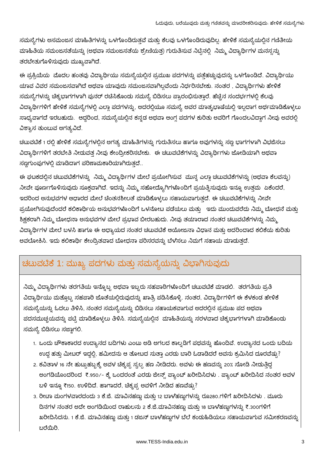ಸಮಸ್ಯೆಗಳು ಅಸಮಂಜಸ ಮಾಹಿತಿಗಳನ್ನು ಒಳಗೊಂಡಿರುತ್ತವೆ ಮತ್ತು ಕೆಲವು ಒಳಗೊಂಡಿರುವುದಿಲ್ಲ. ಹೇಳಿಕೆ ಸಮಸ್ಯೆಯಲ್ಲಿನ ಗಣಿತೀಯ ಮಾಹಿತಿಯ ಸಮಂಜಸತೆಯನ್ನು (ಅಥವಾ ಸಮಂಜಸತೆಯ ಶ್ರೇಣಿಯತ್ತ) ಗುರುತಿಸುವ ನಿಟ್ಟಿನಲ್ಲಿ ನಿಮ್ಮ ವಿದ್ಯಾರ್ಥಿಗಳ ಮನಸ್ಸನ್ನು ತರಬೇತುಗೊಳಿಸುವುದು ಮುಖ್ಯವಾಗಿದೆ.

ಈ ಪ್ರಕ್ರಿಯೆಯ ಮೊದಲ ಹಂತವು ವಿದ್ಯಾರ್ಥಿಯು ಸಮಸ್ಯೆಯಲ್ಲಿನ ಪ್ರಮುಖ ಪದಗಳನ್ನು ಪತ್ತೆಹಚ್ಚುವುದನ್ನು ಒಳಗೊಂಡಿದೆ. ವಿದ್ಯಾರ್ಥಿಯು ಯಾವ ವಿವರ ಸಮಂಜಸವಾಗಿದೆ ಅಥವಾ ಯಾವುದು ಸಮಂಜಸವಾಗಿಲ್ಲವೆಂದು ನಿರ್ಧರಿಸಬೇಕು. ನಂತರ , ವಿದ್ಯಾರ್ಥಿಗಳು ಹೇಳಿಕೆ ಸಮಸ್ಯೆಗಳನ್ನು ಚಿಕ್ಕಭಾಗಗಳಾಗಿ ಪುನರ್ ರಚಿಸಿಕೊಂಡು ಸಮಸ್ಯೆ ಬಿಡಿಸಲು ಪ್ರಾರಂಭಿಸುತ್ತಾರೆ. ಹೆಚ್ಚಿನ ಸಂದರ್ಭಗಳಲ್ಲಿ ಕೆಲವು ವಿದ್ಯಾರ್ಥಿಗಳಿಗೆ ಹೇಳಿಕೆ ಸಮಸ್ಯೆಗಳಲ್ಲಿ ಎಲ್ಲಾ ಪದಗಳನ್ನು, ಅದರಲ್ಲಿಯೂ ಸಮಸ್ಯೆ ಅವರ ಮಾತೃಭಾಷೆಯಲ್ಲಿ ಇಲ್ಲದಾಗ ಅರ್ಥಮಾಡಿಕೊಳ್ಳಲು ಸಾಧ್ಯವಾಗದೆ ಇರಬಹುದು. ಆದ್ದರಿಂದ, ಸಮಸ್ಯೆಯಲ್ಲಿನ ಕನ್ನಡ ಅಥವಾ ಆಂಗ್ಲ ಪದಗಳ ಕುರಿತು ಅವರಿಗೆ ಗೊಂದಲವಿದ್ದಾಗ ನೀವು ಅವರಲ್ಲಿ ವಿಶ್ವಾಸ ತುಂಬುವ ಅಗತ್ಯವಿದೆ.

ಚಟುವಟಿಕೆ 1 ರಲ್ಲಿ ಹೇಳಿಕೆ ಸಮಸ್ಯೆಗಳಲ್ಲಿನ ಅಗತ್ಯ ಮಾಹಿತಿಗಳನ್ನು ಗುರುತಿಸಲು ಹಾಗೂ ಅವುಗಳನ್ನು ಸಣ್ಣ ಭಾಗಗಳಾಗಿ ವಿಭಜಿಸಲು ವಿದ್ಯಾರ್ಥಿಗಳಿಗೆ ತರಬೇತಿ ನೀಡುವತ್ತ ನೀವು ಕೇಂದ್ರೀಕರಿಸಬೇಕು. ಈ ಚಟುವಟಿಕೆಗಳನ್ನು ವಿದ್ಯಾರ್ಥಿಗಳು ಜೋಡಿಯಾಗಿ ಅಥವಾ ಸಣ್ಣಗುಂಪುಗಳಲ್ಲಿ ಮಾಡಿದಾಗ ಪರಿಣಾಮಕಾರಿಯಾಗಿರುತ್ತದೆ..

ಈ ಘಟಕದಲ್ಲಿನ ಚಟುವಟಿಕೆಗಳನ್ನು ನಿಮ್ಮ ವಿದ್ಯಾರ್ಥಿಗಳ ಮೇಲೆ ಪ್ರಯೋಗಿಸುವ ಮುನ್ನ ಎಲ್ಲಾ ಚಟುವಟಿಕೆಗಳನ್ನು (ಅಥವಾ ಕೆಲವನ್ನು) ನೀವೇ ಪೂರ್ಣಗೊಳಿಸುವುದು ಸೂಕ್ತವಾಗಿದೆ. ಇದನ್ನು ನಿಮ್ಮ ಸಹೋದ್ಯೊಗಿಗಳೊಂದಿಗೆ ಪ್ರಯತ್ನಿಸುವುದು ಇನ್ನೂ ಉತ್ತಮ `ಏಕೆಂದರೆ, ಇದರಿಂದ ಅನುಭವಗಳ ಆಧಾರದ ಮೇಲೆ ಚಿಂತನಶೀಲತೆ ಮಾಡಿಕೊಳ್ಳಲು ಸಹಾಯವಾಗುತ್ತದೆ. ಈ ಚಟುವಟಿಕೆಗಳನ್ನು ನೀವೇ ಪ್ರಯೋಗಿಸುವುದೆಂದರೆ ಕಲಿಕಾರ್ಥಿಯ ಅನುಭವಗಳೊಂದಿಗೆ ಒಳನೋಟ ಪಡೆಯಲು ಮತ್ತು ಇದು ಮುಂದುವರೆದು ನಿಮ್ಮ ಬೋಧನೆ ಮತ್ತು ಶಿಕ್ಷಕರಾಗಿ ನಿಮ್ಮ ಬೋಧನಾ ಅನುಭವಗಳ ಮೇಲೆ ಪ್ರಭಾವ ಬೀರಬಹುದು. ನೀವು ತಯಾರಾದ ನಂತರ ಚಟುವಟಿಕೆಗಳನ್ನು ನಿಮ್ಮ ವಿದ್ಯಾರ್ಥಿಗಳ ಮೇಲೆ ಬಳಸಿ ಹಾಗೂ ಈ ಅಧ್ಯಾಯದ ನಂತರ ಚಟುವಟಿಕೆ ಆಯೋಜನಾ ವಿಧಾನ ಮತ್ತು ಅದರಿಂದಾದ ಕಲಿಕೆಯ ಕುರಿತು ಅವಲೋಕಿಸಿ. ಇದು ಕಲಿಕಾರ್ಥಿ ಕೇಂದ್ರಿತವಾದ ಬೋಧನಾ ಪರಿಸರವನ್ನು ಬೆಳೆಸಲು ನಿಮಗೆ ಸಹಾಯ ಮಾಡುತ್ತದೆ.

### ಚಟುವಟಿಕೆ 1: ಮುಖ್ಯ ಪದಗಳು ಮತ್ತು ಸಮಸ್ಯೆಯನ್ನು ವಿಭಾಗಿಸುವುದು

ನಿಮ್ಮ ವಿದ್ಯಾರ್ಥಿಗಳು ತರಗತಿಯ ಇನ್ನೊಬ್ಬ ಅಥವಾ ಇಬ್ಬರು ಸಹಪಾಠಿಗಳೊಂದಿಗೆ ಚಟುವಟಿಕೆ ಮಾಡಲಿ. ತರಗತಿಯ ಪ್ರತಿ ವಿದ್ಯಾರ್ಥಿಯು ಮತ್ತೊಬ್ಬ ಸಹಪಾಠಿ ಜೊತೆಯಲ್ಲಿರುವುದನ್ನು ಖಾತ್ರಿ ಪಡಿಸಿಕೊಳ್ಳಿ. ನಂತರ, ವಿದ್ಯಾರ್ಥಿಗಳಿಗೆ ಈ ಕೆಳಕಂಡ ಹೇಳಿಕೆ ಸಮಸ್ಯೆಯನ್ನು ಓದಲು ತಿಳಿಸಿ, ನಂತರ ಸಮಸ್ಯೆಯನ್ನು ಬಿಡಿಸಲು ಸಹಾಯಕವಾಗುವ ಅದರಲ್ಲಿನ ಪ್ರಮುಖ ಪದ ಅಥವಾ ಪದಸಮುಚ್ಚಯವನ್ನು ಪಟ್ಟಿ ಮಾಡಿಕೊಳ್ಳಲು ತಿಳಿಸಿ. ಸಮಸ್ಯೆಯಲ್ಲಿನ ಮಾಹಿತಿಯನ್ನು ಸರಳವಾದ ಚಿಕ್ಕಭಾಗಗಳಾಗಿ ಮಾಡಿಕೊಂಡು ಸಮಸ್ಯೆ ಬಿಡಿಸಲು ಸಜ್ಜಾಗಲಿ.

- 1. ಒಂದು ಚೌಕಾಕಾರದ ಉದ್ಯಾನದ ಬದಿಗಳು ಎಂಟು ಅಡಿ ಅಗಲದ ಕಾಲ್ನಡಿಗೆ ಪಥವನ್ನು ಹೊಂದಿವೆ. ಉದ್ಯಾನದ ಒಂದು ಬದಿಯ ಉದ್ದ ಹತ್ತು ಮೀಟರ್ ಇದ್ದಲ್ಲಿ, ಹಮೀದನು ಆ ತೋಟದ ಸುತ್ತಾ ಎರಡು ಬಾರಿ ಓಡಾಡಿದರೆ ಅವನು ಕ್ರಮಿಸಿದ ದೂರವೆಷ್ಟು?
- 2. ಕವಿತಾಳ 16 ನೇ ಹುಟ್ಟುಹಬ್ಬಕ್ಕೆ ಅವಳ ಚಿಕ್ಕಪ್ಪ ಸ್ವಲ್ಪ ಹಣ ನೀಡಿದರು. ಅವಳು ಈ ಹಣವನ್ನು 20% ಸೋಡಿ ನೀಡುತ್ತಿದ್ದ ಅಂಗಡಿಯೊಂದರಿಂದ ₹.950⁄- ಕ್ಕೆ ಒಂದರಂತೆ ಎರಡು ಜೀನ್ಸ್ ಪ್ಯಾಂಟ್ ಖರೀದಿಸಿದಳು . ಪ್ಯಾಂಟ್ ಖರೀದಿಸಿದ ನಂತರ ಅವಳ ಬಳಿ ಇನ್ನೂ ₹150. ಉಳಿದಿದೆ. ಹಾಗಾದರೆ, ಚಿಕ್ಕಪ್ಪ ಅವಳಿಗೆ ನೀಡಿದ ಹಣವೆಷ್ತು?
- 3. ರೀಟಾ ಮಂಗಳವಾರದಂದು 3 ಕೆ.ಜಿ. ಮಾವಿನಹಣ್ಣು ಮತ್ತು 12 ಬಾಳೆಹಣ್ಣುಗಳನ್ನು ರೂ280.ಗಳಿಗೆ ಖರೀದಿಸಿದಳು . ಮೂರು ದಿನಗಳ ನಂತರ ಅದೇ ಅಂಗಡಿಯಿಂದ ರಾಹುಲನು 2 ಕೆ.ಜಿ.ಮಾವಿನಹಣ್ಣು ಮತ್ತು 18 ಬಾಳೆಹಣ್ಣುಗಳನ್ನು ₹.300ಗಳಿಗೆ ಖರೀದಿಸಿದನು. 1 ಕೆ.ಜಿ. ಮಾವಿನಹಣ್ಣು ಮತ್ತು 1 ಡಜನ್ ಬಾಳೆಹಣ್ಣುಗಳ ಬೆಲೆ ಕಂಡುಹಿಡಿಯಲು ಸಹಾಯವಾಗುವ ಸಮೀಕರಣವನ್ನು ಬರೆಯಿರಿ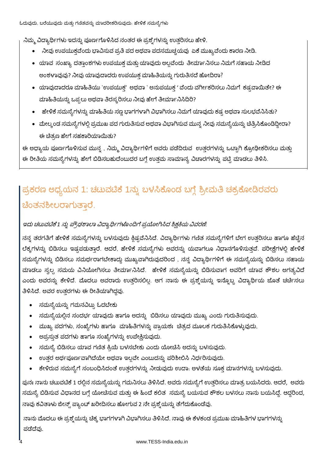ನಿಮ್ಮ ವಿದ್ಯಾರ್ಥಿಗಳು ಇದನ್ನು ಪೂರ್ಣಗೊಳಿಸಿದ ನಂತರ ಈ ಪ್ರಶ್ನೆಗಳನ್ನು ಉತ್ತರಿಸಲು ಹೇಳಿ.

- ನೀವು ಉಪಯುಕ್ತವೆಂದು ಭಾವಿಸುವ ಪ್ರತಿ ಪದ ಅಥವಾ ಪದಸಮುಚ್ಚಯವು ಏಕೆ ಮುಖ್ಯವೆಂದು ಕಾರಣ ನೀಡಿ.
- ಯಾವ ಸಂಖ್ಯಾ ದತ್ತಾಂಶಗಳು ಉಪಯುಕ್ತ ಮತ್ತು ಯಾವುದು ಅಲ್ಲವೆಂದು ತೀರ್ಮಾನಿಸಲು ನಿಮಗೆ ಸಹಾಯ ನೀಡಿದ ಅಂಶಳಾವುವು? ನೀವು ಯಾವುದಾದರು ಉಪಯುಕ್ತ ಮಾಹಿತಿಯನ್ನು ಗುರುತಿಸದೆ ಹೋದಿರಾ?
- ಯಾವುದಾದರೂ ಮಾಹಿತಿಯು `ಉಪಯುಕ್ತ' ಅಥವಾ ` ಅನುಪಯುಕ್ತ ' ವೆಂದು ವರ್ಗೀಕರಿಸಲು ನಿಮಗೆ ಕಷ್ಟವಾಯಿತೇ? ಈ ಮಾಹಿತಿಯನ್ನು ಒಪ್ಪಲು ಅಥವಾ ತಿರಸ್ಕರಿಸಲು ನೀವು ಹೇಗೆ ತೀರ್ಮಾನಿಸಿದಿರಿ?
- ಹೇಳಿಕೆ ಸಮಸ್ಯೆಗಳನ್ನು ಮಾಹಿತಿಯ ಸಣ್ಣ ಭಾಗಗಳಾಗಿ ವಿಭಾಗಿಸಲು ನಿಮಗೆ ಯಾವುದು ಕಷ್ಟ ಅಥವಾ ಸುಲಭವೆನಿಸಿತು?
- ಮೇಲ್ಕಂಡ ಸಮಸ್ಯೆಗಳಲ್ಲಿ ಪ್ರಮುಖ ಪದ ಗುರುತಿಸುವ ಅಥವಾ ವಿಭಾಗಿಸುವ ಮುನ್ನ ನೀವು ಸಮಸ್ಯೆಯನ್ನು ಚಿತ್ರಿಸಿಕೊಂಡಿದ್ದೀರಾ? ಈ ಚಿತ್ರಣ ಹೇಗೆ ಸಹಕಾರಿಯಾಯಿತು?

ಈ ಅಧ್ಯಾಯ ಪೂರ್ಣಗೊಳಿಸುವ ಮುನ್ನ , ನಿಮ್ಮ ವಿದ್ಯಾರ್ಥಿಗಳಿಗೆ ಅವರು ಪಡೆದಿರುವ ಉತ್ತರಗಳನ್ನು ಒಟ್ಟಾಗಿ ಕ್ರೋಢೀಕರಿಸಲು ಮತ್ತು ಈ ರೀತಿಯ ಸಮಸ್ಯೆಗಳನ್ನು ಹೇಗೆ ಬಿಡಿಸಬಹುದೆಂಬುದರ ಬಗ್ಗೆ ಉತ್ತಮ ಸಾಮಾನ್ಯ ವಿಚಾರಗಳನ್ನು ಪಟ್ಟಿ ಮಾಡಲು ತಿಳಿಸಿ.

## ಪ್ರಕರಣ ಅಧ್ಯಯನ 1: ಚಟುವಟಿಕೆ 1ನ್ನು ಬಳಸಿಕೊಂಡ ಬಗ್ಗೆ ಶ್ರೀಮತಿ ಚಕ್ರಕೋಡಿರವರು ಚೆಂತನಶೀಲರಾಗುತಾರೆ.

#### ಇದು ಚಟುವಟಿಕೆ 1 ನ್ನು ಪ್ರೌಢಶಾಲಾ ವಿದ್ಯಾರ್ಥಿಗಳೊಂದಿಗೆ ಪ್ರಯೋಗಿಸಿದ ಶಿಕ್ಷಕಿಯ ವಿವರಣೆ:

ನನ್ನ ತರಗತಿಗೆ ಹೇಳಿಕೆ ಸಮಸ್ಯೆಗಳನ್ನು ಬಳಸುವುದು ಕ್ಲಿಷ್ಟವೆನಿಸಿದೆ. ವಿದ್ಯಾರ್ಥಿಗಳು ಗಣಿತ ಸಮಸ್ಯೆಗಳಿಗೆ ಬೇಗ ಉತ್ತರಿಸಲು ಹಾಗೂ ಹೆಚ್ಚಿನ ಲೆಕ್ಕಗಳನ್ನು ಬಿಡಿಸಲು ಇಷ್ಟಪಡುತ್ತಾರೆ. ಆದರೆ, ಹೇಳಿಕೆ ಸಮಸ್ಯೆಗಳು ಅವರನ್ನು ಯವಾಗಲೂ ನಿಧಾನಗೊಳಿಸುತ್ತವೆ. ಪರೀಕ್ಷೆಗಳಲ್ಲಿ ಹೇಳಿಕೆ ಸಮಸ್ಯೆಗಳನ್ನು ಬಿಡಿಸಲು ಸಮರ್ಥರಾಗಬೇಕಾದ್ದು ಮುಖ್ಯವಾಗಿರುವುದರಿಂದ , ನನ್ನ ವಿದ್ಯಾರ್ಥಿಗಳಿಗೆ ಈ ಸಮಸ್ಯೆಯನ್ನು ಬಿಡಿಸಲು ಸಹಾಯ ಮಾಡಲು ಸ್ವಲ್ಪ ಸಮಯ ವಿನಿಯೋಗಿಸಲು ತೀರ್ಮಾನಿಸಿದೆ. ಹೇಳಿಕೆ ಸಮಸ್ಯೆಯನ್ನು ಬಿಡಿಸುವಾಗ ಅವರಿಗೆ ಯಾವ ಕೌಶಲ ಅಗತ್ಯವಿದೆ ಎಂದು ಅವರನ್ನು ಕೇಳಿದೆ. ಮೊದಲು ಅವರಾರು ಉತ್ತರಿಸಲಿಲ್ಲ. ಆಗ ನಾನು ಈ ಪ್ರಶ್ನೆಯನ್ನು ಇನ್ನೊಬ್ಬ ವಿದ್ಯಾರ್ಥಿಯ ಜೊತೆ ಚರ್ಚಿಸಲು ತಿಳಿಸಿದೆ. ಅವರ ಉತ್ತರಗಳು ಈ ರೀತಿಯಾಗಿದ್ದವು.

- ಸಮಸ್ಯೆಯನ್ನು ಗಮನವಿಟ್ಟು ಓದಬೇಕು
- ಸಮಸ್ಯೆಯಲ್ಲಿನ ಸಂದರ್ಭ ಯಾವುದು ಹಾಗೂ ಅದನ್ನು ಬಿಡಿಸಲು ಯಾವುದು ಮುಖ್ಯ ಎಂದು ಗುರುತಿಸುವುದು.
- ಮುಖ್ಯ ಪದಗಳು, ಸಂಖ್ಯೆಗಳು ಹಾಗೂ ಮಾಹಿತಿಗಳನ್ನು ಪ್ರಾಯಶಃ ಚಿತ್ರದ ಮೂಲಕ ಗುರುತಿಸಿಕೊಳ್ಳುವುದು,
- ಅಪ್ರಸ್ತುತ ಪದಗಳು ಹಾಗೂ ಸಂಖ್ಯೆಗಳನ್ನು ಉಪೇಕ್ಷಿಸುವುದು.
- ಸಮಸ್ಯೆ ಬಿಡಿಸಲು ಯಾವ ಗಣಿತ ಕ್ರಿಯೆ ಬಳಸಬೇಕು ಎಂದು ಯೋಚಿಸಿ ಅದನ್ನು ಬಳಸುವುದು.
- ಉತ್ತರ ಅರ್ಥಪೂರ್ಣವಾಗಿದೆಯೇ ಅಥವಾ ಇಲ್ಲವೇ ಎಂಬುದನ್ನು ಪರಿಶೀಲಿಸಿ ನಿರ್ಧರಿಸುವುದು.
- ಕೇಳಿರುವ ಸಮಸ್ಯೆಗೆ ಸಂಬಂಧಿಸಿದಂತೆ ಉತ್ತರಗಳನ್ನು ನೀಡುವುದು ಉದಾ. ಅಳತೆಯ ಸೂಕ್ತ ಮಾನಗಳನ್ನು ಬಳಸುವುದು.

ಪುನಃ ನಾನು ಚಟುವಟಿಕೆ 1 ರಲ್ಲಿನ ಸಮಸ್ಯೆಯನ್ನು ಗಮನಿಸಲು ತಿಳಿಸಿದೆ. ಅವರು ಸಮಸ್ಯೆಗೆ ಉತ್ತರಿಸಲು ಮಾತ್ರ ಬಯಸಿದರು. ಆದರೆ, ಅವರು ಸಮಸ್ಯೆ ಬಿಡಿಸುವ ವಿಧಾನದ ಬಗ್ಗೆ ಯೋಚಿಸುವ ಮತ್ತು ಈ ಹಿಂದೆ ಕಲಿತ ಸಮಸ್ಯೆ ಬಯಸುವ ಕೌಶಲ ಬಳಸಲು ನಾನು ಬಯಸಿದ್ದೆ. ಆದ್ದರಿಂದ, ನಾವು ಕವಿತಾಳು ಜೀನ್ಸ್ ಪ್ಯಾಂಟ್ ಖರೀದಿಸಲು ಹೋಗುವ 2 ನೇ ಪ್ರಶ್ನೆಯನ್ನು ತೆಗೆದುಕೊಂಡೆವು.

ನಾನು ಮೊದಲು ಈ ಪ್ರಶ್ನೆಯನ್ನು ಚೆಕ್ಕ ಭಾಗಗಳಾಗಿ ವಿಭಾಗಿಸಲು ತಿಳಿಸಿದೆ. ನಾವು ಈ ಕೆಳಕಂಡ ಪ್ರಮುಖ ಮಾಹಿತಿಗಳ ಭಾಗಗಳನ್ನು ಪಡೆದೆವು.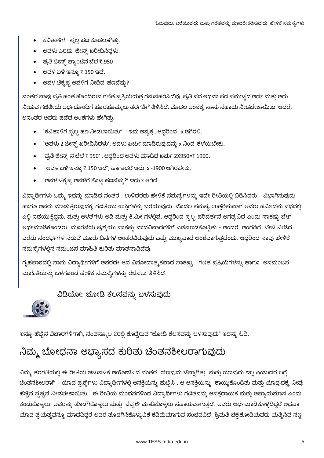- ಕವಿತಾಳಿಗೆ ಸ್ವಲ್ಪ ಹಣ ಕೊಡಲಾಗಿತ್ತು.
- ಅವಳು ಎರಡು ಜೀನ್ಸ್ ಖರೀದಿಸಿದ್ದಳು.
- ಪ್ರತಿ ಜೀನ್ಸ್ ಪ್ಯಾಂಟಿನ ಬೆಲೆ ₹.950
- ಲದಳ ಬಳಿ ಇನ್ನೂ ₹ 150 ಇದೆ.
- ಅವಳ ಚಿಕ್ಕಪ್ಪ ಅವಳಿಗೆ ನೀಡಿದ ಹಣವೆಷ್ರು?

ನಂತರ ನಾವು ಪ್ರತಿ ಹಂತ ಹೊಂದಿರುವ ಗಣಿತ ಪ್ರಕ್ರಿಯೆಯತ್ತ ಗಮನಹರಿಸಿದೆವು. ಪ್ರತಿ ಪದ ಅಥವಾ ಪದ ಸಮುಚ್ಚದ ಅರ್ಥ ಮತ್ತು ಅದು ನೀಡುವ ಗಣಿತೀಯ ಅರ್ಥದೊಂದಿಗೆ ಹೊರಹೊಮ್ಮಲು ತರಗತಿಗೆ ತಿಳಿಸಿದೆ. ಮೊದಲ ಅಂಶಕ್ಕೆ ನಾನು ಸಹಾಯ ನೀಡಬೇಕಾಯಿತು. ಆದರೆ, ಅನಂತರ ಅವರು ಪಡೆದ ಅಂಶಗಳು ಹೇಗಿತ್ತು.

- `ಕವಿತಾಳಿಗೆ ಸ್ವಲ್ಪ ಹಣ ನೀಡಲಾಯಿತು" ಇದು ಅವ್ಯಕ್ತ , ಆದ್ದರಿಂದ x ಆಗಿರಲಿ.
- `ಅವಳು 2 ಜೀನ್ಸ್ ಖರೀದಿಸಿದಳು', ಅವಳು ಖರ್ಚು ಮಾಡಿರುವುದನ್ನು x ನಿಂದ ಕಳೆಯಬೇಕು.
- `ಪ್ರತಿ ಜೀನ್ಸ್ ನ ಬೆಲೆ ₹ 950' , ಆದ್ದರಿಂದ ಅವಳು ಮಾಡಿದ ಖರ್ಚು 2X950=₹ 1900.
- `ಅವಳ ಬಳಿ ಇನ್ನೂ ₹ 150 ಇದೆ', ಹಾಗಾದರೆ ಇದು  $x$  -1900 ಆಗಿರಬೇಕು.
- `ಅವಳ ಚೆಕ್ಕ್ರಪ್ಪ ಅವಳಿಗೆ ಕೊಟ್ಟ ಹಣವೆಷ್ರು?' ಇದು x ಆಗಿದೆ.

ವಿದ್ಯಾರ್ಥಿಗಳು ಒಮ್ಮೆ ಇದನ್ನು ಮಾಡಿದ ನಂತರ , ಉಳಿದೆರಡು ಹೇಳಿಕೆ ಸಮಸ್ಯೆಗಳನ್ನು ಇದೇ ರೀತಿಯಲ್ಲಿ ಬಿಡಿಸಿದರು - ವಿಭಾಗಿಸುವುದು ಹಾಗೂ ಅವರು ಮಾಡುತ್ತಿರುವುದಕ್ಕೆ ಗಣಿತೀಯ ಉಕ್ತಿಗಳನ್ನು ಬರೆಯುವುದು. ಮೊದಲ ಸಮಸ್ಯೆ ಉತ್ತರಿಸುವಾಗ ಅವರು ಹಮೀದನು ಪಥದಲ್ಲಿ ಎಲ್ಲಿ ನಡೆಯುತ್ತಿದ್ದನು, ಮತ್ತು ಅಳತೆಗಳು ಅಡಿ ಮತ್ತು ಕಿ.ಮೀ ಗಳಲ್ಲಿವೆ, ಆದ್ದರಿಂದ ಸ್ವಲ್ಪ ಪರಿವರ್ತನೆ ಅಗತ್ಯವಿದೆ ಎಂದು ಸಾಕಷ್ಟು ಬೇಗ ಅರ್ಥಮಾಡಿಕೊಂಡರು. ಮೂರನೆಯ ಪ್ರಶ್ನೆಯು ಸಾಕಷ್ಟು ವಾದವಿವಾದಗಳಿಗೆ ಎಡೆಮಾಡಿಕೊಟ್ಟಿತು – ಅಂದರೆ, ಅಂಗಡಿಗೆ, ಬೇಟಿ ನೀಡಿದ ಎರಡು ಸಂದರ್ಭಗಳ ನಡುವೆ ಮೂರು ದಿನಗಳ ಅಂತರವಿರುವುದು ಎಷ್ಟು ಮುಖ್ಯವಾದ ಅಂಶವಾಗುತ್ತದೆಂದು. ಆದ್ದರಿಂದ ನಾವು ಹೇಳಿಕೆ ಸಮಸ್ಯೆಗಳಲ್ಲಿನ ಸಮಂಜಸ ಮಾಹಿತಿ ಕುರಿತು ಮಾತನಾಡಿದೆವು.

ಗೃಹಪಾಠದಲ್ಲಿ ನಾನು ವಿದ್ಯಾರ್ಥಿಗಳಿಗೆ ಅವರದೇ ಆದ ವಿನೋದಾತ್ಮಕವಾದ ಸಾಕಷ್ಟು ಗಣಿತ ಪ್ರಕ್ರಿಯೆಗಳನ್ನು ಹಾಗೂ ಅಸಮಂಜಸ ಮಾಹಿತಿಯನ್ನು ಒಳಗೊಂಡ ಹೇಳಿಕೆ ಸಮಸ್ಯೆಗಳನ್ನು ರಚಿಸಲು ತಿಳಿಸಿದೆ.

ವಿಡಿಯೋ: ಜೋಡಿ ಕೆಲಸವನ್ನು ಬಳಸುವುದು



ಇನ್ನೂ ಹೆಚ್ಚಿನ ವಿಚಾರಗಳಿಗಾಗಿ, ಸಂಪನ್ಮೂಲ 2ರಲ್ಲಿ ಕೊಟ್ಟಿರುವ "ಜೋಡಿ ಕೆಲಸವನ್ನು ಬಳಸುವುದು" ಇದನ್ನು ಓದಿ.

### ನಿಮ್ಮ ಬೋಧನಾ ಅಭ್ಯಾಸದ ಕುರಿತು ಚಿಂತನಶೀಲರಾಗುವುದು

ನಿಮ್ಮ ತರಗತಿಯಲ್ಲಿ ಈ ರೀತಿಯ ಚಟುವಟಿಕೆ ಆಯೋಜಿಸಿದ ನಂತರ ಯಾವುದು ಚೆನ್ನಾಗಿತ್ತು ಮತ್ತು ಯಾವುದು ಇಲ್ಲ ಎಂಬುದರ ಬಗ್ಗೆ ಚಿಂತನಶೀಲರಾಗಿ - ಯಾವ ಪ್ರಶ್ನೆಗಳು ವಿದ್ಯಾರ್ಥಿಗಳಲ್ಲಿ ಆಸಕ್ತಿಯನ್ನು ಹುಟ್ಟಿಸಿ , ಆ ಆಸಕ್ತಿಯನ್ನು ಕಾಯ್ದುಕೊಂಡಿತು ಮತ್ತು ಯಾವುದಕ್ಕೆ ನೀವು ಹೆಚ್ಚಿನ ಸ್ಪಷ್ಟನೆ ನೀಡಬೇಕಾಯಿತು. ಈ ರೀತಿಯ ಮಂಥನಗಳಿಂದ ವಿದ್ಯಾರ್ಥಿಗಳು ಗಣಿತವನ್ನು ಆಸಕ್ತದಾಯಕ ಮತ್ತು ಅಪ್ಯಾಯಮಾನ ಎಂದು ಕಂಡುಕೊಳ್ಳಲು, ಅವರನ್ನು ತೊಡಗಿಕೊಳ್ಳಲು ಮತ್ತು `ಚಿಪ್ಪಣಿ' ಮಾಡಿಕೊಳ್ಳಲು ಸಹಾಯವಾಗುತ್ತದೆ. ಅವರು ಅರ್ಥಮಾಡಿಕೊಳ್ಳದಿದ್ದರೆ ಅಥವಾ ಯಾವ ಪ್ರಯತ್ನವನ್ನೂ ಮಾಡದಿದ್ದರೆ ಅವರ ತೊಡಗಿಸಿಕೊಳ್ಳುವಿಕೆ ಕಡಿಮೆಯಾಗುವ ಸಂಭವವಿದೆ. ಶ್ರಿಮತಿ ಚಕ್ರಕೋಡಿಯವರು ಯತ್ನಿಸಿದ ಸಣ್ಣ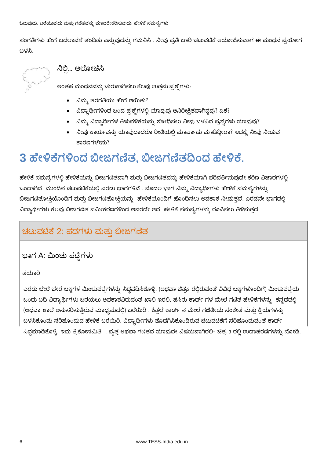ಸಂಗತಿಗಳು ಹೇಗೆ ಬದಲಾವಣೆ ತಂದಿತು ಎನ್ನುವುದನ್ನು ಗಮನಿಸಿ . ನೀವು ಪ್ರತಿ ಬಾರಿ ಚಟುವಟಿಕೆ ಆಯೋಜಿಸುವಾಗ ಈ ಮಂಥನ ಪ್ರಯೋಗ ಬಳಸಿ.

ನಿಲ್ಲಿ... ಆಲೋಚಿಸಿ

ಅಂತಹ ಮಂಥನವನ್ನು ಚುರುಕಾಗಿಸಲು ಕೆಲವು ಉತ್ತಮ ಪ್ರಶ್ನೆಗಳು:

- ನಿಮ್ಮ ತರಗತಿಯು ಹೇಗೆ ಆಯಿತು?
- ವಿದ್ಯಾರ್ಥಿಗಳಿಂದ ಬಂದ ಪ್ರಶ್ನೆಗಳಲ್ಲಿ ಯಾವುವು ಅನಿರೀಕ್ಷಿತವಾಗಿದ್ದವು? ಏಕೆ?
- ನಿಮ್ಮ ವಿದ್ಯಾರ್ಥಿಗಳ ತಿಳುವಳಿಕೆಯನ್ನು ಶೋಧಿಸಲು ನೀವು ಬಳಸಿದ ಪ್ರಶ್ನೆಗಳು ಯಾವುವು?
- ನೀವು ಕಾರ್ಯವನ್ನು ಯಾವುದಾದರೂ ರೀತಿಯಲ್ಲಿ ಮಾರ್ಪಾದು ಮಾಡಿದ್ದೀರಾ? ಇದಕ್ಕೆ ನೀವು ನೀಡುವ ಕಾರಣಗಳೇನು?

# 3 ಹೇಳಿಕೆಗಳಿಂದ ಬೀಜಗಣಿತ, ಬೀಜಗಣಿತದಿಂದ ಹೇಳಿಕೆ.

ಹೇಳಿಕೆ ಸಮಸ್ಯೆಗಳಲ್ಲಿ ಹೇಳಿಕೆಯನ್ನು ಬೀಜಗಣಿತವಾಗಿ ಮತ್ತು ಬೀಜಗಣಿತವನ್ನು ಹೇಳಿಕೆಯಾಗಿ ಪರಿವರ್ತಿಸುವುದೇ ಕಠಿಣ ವಿಚಾರಗಳಲ್ಲಿ ಒಂದಾಗಿದೆ. ಮುಂದಿನ ಚಟುವಟಿಕೆಯಲ್ಲಿ ಎರಡು ಭಾಗಗಳಿವೆ . ಮೊದಲ ಭಾಗ ನಿಮ್ಮ ವಿದ್ಯಾರ್ಥಿಗಳು ಹೇಳಿಕೆ ಸಮಸ್ಯೆಗಳನ್ನು ಬೀಜಗಣಿತೋಕ್ತಿಯೊಂದಿಗೆ ಮತ್ತು ಬೀಜಗಣಿತೋಕ್ತಿಯನ್ನು ಹೇಳಿಕೆಯೊಂದಿಗೆ ಹೊಂದಿಸಲು ಅವಕಾಶ ನೀಡುತ್ತದೆ. ಎರಡನೇ ಭಾಗದಲ್ಲಿ ವಿದ್ಯಾರ್ಥಿಗಳು ಕೆಲವು ಬೀಜಗಣಿತ ಸಮೀಕರಣಗಳಿಂದ ಅವರದೇ ಆದ ಹೇಳಿಕೆ ಸಮಸ್ಯೆಗಳನ್ನು ರೂಪಿಸಲು ತಿಳಿಸುತ್ತದೆ

### ಚಟುವಟಿಕೆ 2: ಪದಗಳು ಮತ್ತು ಬೀಜಗಣಿತ

ಭಾಗ A: ಮಿಂಚು ಪಟ್ಟಿಗಳು

#### ತಯಾರಿ

ಎರಡು ಬೇರೆ ಬೇರೆ ಬಣ್ಣಗಳ ಮಿಂಚುಪಟ್ಟೆಗಳನ್ನು ಸಿದ್ಧಪಡಿಸಿಕೊಳ್ಳಿ. (ಅಥವಾ ಚೆತ್ರ3 ರಲ್ಲಿರುವಂತೆ ವಿವಿಧ ಬಣ್ಣಗಳೊಂದಿಗೆ) ಮಿಂಚುಪಟ್ಟೆಯ ಒಂದು ಬದಿ ವಿದ್ಯಾರ್ಥಿಗಳು ಬರೆಯಲು ಅವಕಾಶವಿರುವಂತೆ ಖಾಲಿ ಇರಲಿ. ಹಸಿರು ಕಾರ್ಡ್ ಗಳ ಮೇಲೆ ಗಣಿತ ಹೇಳಿಕೆಗಳನ್ನು ಕನ್ನಡದಲ್ಲಿ (ಅಥವಾ ಶಾಲೆ ಅನುಸರಿಸುತ್ತಿರುವ ಮಾಧ್ಯಮದಲ್ಲಿ) ಬರೆಯಿರಿ . ಕಿತ್ತಲೆ ಕಾರ್ಡ್ ನ ಮೇಲೆ ಗಣಿತೀಯ ಸಂಕೇತ ಮತ್ತು ಕ್ರಿಯೆಗಳನ್ನು ಬಳಸಿಕೊಂಡು ಸರಿಹೊಂದುವ ಹೇಳಿಕೆ ಬರೆಯಿರಿ. ವಿದ್ಯಾರ್ಥಿಗಳು ತೊಡಗಿಸಿಕೊಂಡಿರುವ ಚಟುವಟಿಕೆಗೆ ಸರಿಹೊಂದುವಂತೆ ಕಾರ್ಡ್ ಸಿದ್ದಮಾಡಿಕೊಳ್ಳಿ. ಇದು ತ್ರಿಕೋನಮಿತಿ , ವೃತ್ತ ಅಥವಾ ಗಣಿತದ ಯಾವುದೇ ವಿಷಯವಾಗಿರಲಿ– ಚಿತ್ರ 3 ರಲ್ಲಿ ಉದಾಹರಣೆಗಳನ್ನು ನೋಡಿ.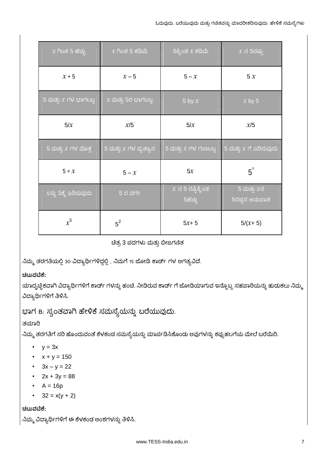| $x$ ಗಿಂತ 5 ಹೆಚ್ಚು        | $x$ ಗಿಂತ 5 ಕಡಿಮೆ        | 5ಕ್ಕಿಂತ $x$ ಕಡಿಮೆ                            | $x$ ನ 5ರಷ್ಟು                   |
|--------------------------|-------------------------|----------------------------------------------|--------------------------------|
| $x + 5$                  | $x - 5$                 | $5 - x$                                      | 5x                             |
| 5 ಮತ್ತು $x$ ಗಳ ಭಾಗಲಬ್ದ   | $x$ ಮತ್ತು 5ರ ಭಾಗಲಬ್ದ    | 5 by $x$                                     | $x$ by 5                       |
| 5/x                      | x/5                     | 5/x                                          | x/5                            |
| 5 ಮತ್ತು $x$ ಗಳ ಮೊತ್ತ     | 5 ಮತ್ತು $X$ ಗಳ ವ್ಯತ್ಯಾಸ | 5 ಮತ್ತು $x$ ಗಳ ಗುಣಲಬ್ದ                       | 5 ಮತ್ತು $X$ ಗೆ ಏರಿಸುವುದು       |
| $5 + x$                  | $5 - x$                 | 5x                                           | $5^{x}$                        |
| $x$ ನ್ನು 5ಕ್ಕೆ ಏರಿಸುವುದು | $5$ ರ ವರ್ಗ              | $x$ ನ 5 ರಷ್ಟಿಕ್ಕಿಂತ<br>$\overline{5}$ ಹೆಚ್ಚು | 5 ಮತ್ತು $x$ ನ<br>5ರಷ್ಟರ ಅನುಪಾತ |
| $x^5$                    | $5^2$                   | $5x + 5$                                     | $5/(x+5)$                      |

ಚಿತ್ರ 3 ಪದಗಳು ಮತ್ತು ಬೀಜಗಣಿತ

ನಿಮ್ಮ ತರಗತಿಯಲ್ಲಿ 30 ವಿದ್ಯಾರ್ಥಿಗಳಿದ್ದಲ್ಲಿ, ನಿಮಗೆ 15 ಜೋಡಿ ಕಾರ್ಡ್ ಗಳ ಅಗತ್ಯವಿದೆ.

#### ಚಟುವಟಿಕೆ:

ಯಾದೃಚ್ಚಿಕವಾಗಿ ವಿದ್ಯಾರ್ಥಿಗಳಿಗೆ ಕಾರ್ಡ್ ಗಳನ್ನು ಹಂಚಿ. ನೀಡಿರುವ ಕಾರ್ಡ್ ಗೆ ಜೋಡಿಯಾಗುವ ಇನ್ನೊಬ್ಬ ಸಹಪಾಠಿಯನ್ನು ಹುಡುಕಲು ನಿಮ್ಮ ವಿದ್ಯಾರ್ಥಿಗಳಿಗೆ ತಿಳಿಸಿ.

ಭಾಗ B. ಸ್ವಂತವಾಗಿ ಹೇಳಿಕೆ ಸಮಸ್ಯೆಯನ್ನು ಬರೆಯುವುದು.

#### ತಯಾರಿ

ನಿಮ್ಮ ತರಗತಿಗೆ ಸರಿ ಹೊಂದುವಂತೆ ಕೆಳಕಂಡ ಸಮಸ್ಯೆಯನ್ನು ಮಾರ್ಪಡಿಸಿಕೊಂಡು ಅವುಗಳನ್ನು ಕಪ್ಪುಹಲಗೆಯ ಮೇಲೆ ಬರೆಯಿರಿ.

- $y = 3x$
- $x + y = 150$
- $3x y = 22$
- $2x + 3y = 88$
- $A = 16p$
- $32 = x(y + 2)$

ಚಟುವಟಿಕೆ:

ನಿಮ್ಮ ವಿದ್ಯಾರ್ಥಿಗಳಿಗೆ ಈ ಕೆಳಕಂಡ ಅಂಶಗಳನ್ನು ತಿಳಿಸಿ.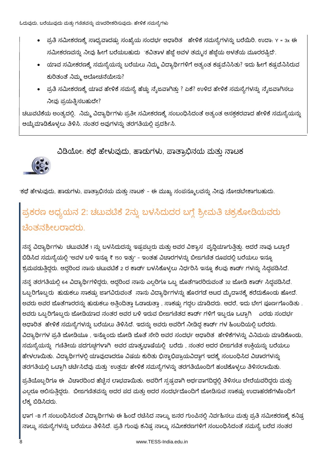- ಪ್ರತಿ ಸಮೀಕರಣಕ್ಕೆ ಸಾಧ್ಯವಾದಷ್ಟು ಸಂಖ್ಯೆಯ ಸಂದರ್ಭ ಆಧಾರಿತ ಹೇಳಿಕೆ ಸಮಸ್ಯೆಗಳನ್ನು ಬರೆಯಿರಿ. ಉದಾ. Y = 3x ಈ ಸಮೀಕರಣವನ್ನು ನೀವು ಹೀಗೆ ಬರೆಯಬಹುದು `ಕವಿತಾಳ ಹೆಜ್ಜೆ ಅವಳ ತಮ್ಮನ ಹೆಜ್ಜೆಯ ಅಳತೆಯ ಮೂರರಷ್ಟಿದೆ'.
- ಯಾವ ಸಮೀಕರಣಕ್ಕೆ ಸಮಸ್ಯೆಯನ್ನು ಬರೆಯಲು ನಿಮ್ಮ ವಿದ್ಯಾರ್ಥಿಗಳಿಗೆ ಅತ್ಯಂತ ಕಷ್ಟವೆನಿಸಿತು? ಇದು ಹೀಗೆ ಕಷ್ಟವೆನಿಸಿರುವ ಕುರಿತಂತೆ ನಿಮ್ಮ ಆಲೋಚನೆಯೇನು?
- ಪ್ರತಿ ಸಮೀಕರಣಕ್ಕೆ ಯಾವ ಹೇಳಿಕೆ ಸಮಸ್ಯೆ ಹೆಚ್ಚು ನೈಜವಾಗಿತ್ತು ? ಏಕೆ? ಉಳಿದ ಹೇಳಿಕೆ ಸಮಸ್ಯೆಗಳನ್ನು ನೈಜವಾಗಿಸಲು ನೀವು ಪ್ರಯತ್ತಿಸಬಹುದೇ?

ಚಟುವಟಿಕೆಯ ಅಂತ್ಯದಲ್ಲಿ, ನಿಮ್ಮ ವಿದ್ಯಾರ್ಥಿಗಳು ಪ್ರತೀ ಸಮೀಕರಣಕ್ಕೆ ಸಂಬಂಧಿಸಿದಂತೆ ಅತ್ಯಂತ ಆಸಕ್ತಕರವಾದ ಹೇಳಿಕೆ ಸಮಸ್ಯೆಯನ್ನು ಆಯ್ಕೆಮಾಡಿಕೊಳ್ಳಲು ತಿಳಿಸಿ. ನಂತರ ಅವುಗಳನ್ನು ತರಗತಿಯಲ್ಲಿ ಪ್ರದರ್ಶಿಸಿ.

#### ವಿಡಿಯೋ: ಕಥೆ ಹೇಳುವುದು, ಹಾದುಗಳು, ಪಾತ್ರಾಭಿನಯ ಮತು ನಾಟಕ

'ಕಥೆ ಹೇಳುವುದು, ಹಾದುಗಳು, ಪಾತ್ರಾಭಿನಯ ಮತ್ತು ನಾಟಕ' - ಈ ಮುಖ್ಯ ಸಂಪನ್ಮೂಲವನ್ನು ನೀವು ನೋಡಬೇಕಾಗಬಹುದು.

# ಪ್ರಕರಣ ಅಧ್ಯಯನ 2: ಚಟುವಟಿಕೆ 2ನ್ನು ಬಳಸಿದುದರ ಬಗ್ಗೆ ಶ್ರೀಮತಿ ಚಕ್ರಕೋಡಿಯವರು ಚೆಂತನಶೀಲರಾದರು.

ನನ್ನ ವಿದ್ಯಾರ್ಥಿಗಳು ಚಟುವಟಿಕೆ 1 ನ್ನು ಬಳಸಿದುದನ್ನು ಇಷ್ಟಪಟ್ಟರು ಮತ್ತು ಅವರ ವಿಶ್ವಾಸ ವೃದ್ಧಿಯಾಗುತ್ತಿತ್ತು. ಆದರೆ ನಾವು ಒಟ್ಟಾರೆ ಬಿಡಿಸಿದ ಸಮಸ್ಯೆಯಲ್ಲಿ "ಅವಳ ಬಳಿ ಇನ್ನೂ ₹ 150 ಇತ್ತು" – ಇಂತಹ ವಿಚಾರಗಳನ್ನು ಬೀಜಗಣಿತ ರೂಪದಲ್ಲಿ ಬರೆಯಲು ಇನ್ನೂ ಶ್ರಮಪಡುತ್ತಿದ್ದರು. ಆದ್ದರಿಂದ ನಾನು ಚಟುವಟಿಕೆ 2 ರ ಕಾರ್ಡ್ ಬಳಸಿಕೊಳ್ಳಲು ನಿರ್ಧರಿಸಿ ಇನ್ನೂ ಕೆಲವು ಕಾರ್ಡ್ ಗಳನ್ನು ಸಿದ್ಧಪಡಿಸಿದೆ.

ನನ್ನ ತರಗತಿಯಲ್ಲಿ 64 ವಿದ್ಯಾರ್ಥಿಗಳಿದ್ದರು, ಆದ್ದರಿಂದ ನಾನು ಎಲ್ಲರಿಗೂ ಒಬ್ಬ ಜೊತೆಗಾರರಿರುವಂತೆ 32 ಜೋಡಿ ಕಾರ್ಡ್ ಸಿದ್ಧಪಡಿಸಿದೆ. ಒಬ್ಬರಿಗೊಬ್ಬರು ಹುದುಕಲು ಸಾಕಷ್ಟು ಜಾಗವಿರುವಂತೆ ನಾನು ವಿದ್ಯಾರ್ಥಿಗಳನ್ನು ಹೊರಗಡೆ ಆಟದ ಮೈದಾನಕ್ಕೆ ಕರೆದುಕೊಂದು ಹೋದೆ. ಅವರು ಅವರ ಜೊತೆಗಾರರನ್ನು ಹುಡುಕಲು ಅತ್ತಿಂದಿತ್ತಾ ಓಡಾಡುತ್ತಾ , ಸಾಕಷ್ಟು ಗದ್ದಲ ಮಾಡಿದರು. ಆದರೆ, ಇದು ಬೇಗ ಪೂರ್ಣಗೊಂಡಿತು . ಅವರು ಒಬ್ಬರಿಗೊಬ್ಬರು ಜೋಡಿಯಾದ ನಂತರ ಅವರ ಬಳಿ ಇರುವ ಬೀಜಗಣಿತದ ಕಾರ್ಡ್ ಗಳಿಗೆ ಇಬ್ಬರೂ ಒಟ್ಟಾಗಿ \_ ಎರಡು ಸಂದರ್ಭ ಆಧಾರಿತ ಹೇಳಿಕೆ ಸಮಸ್ಯೆಗಳನ್ನು ಬರೆಯಲು ತಿಳಿಸಿದೆ. ಇದನ್ನು ಅವರು ಅವರಿಗೆ ನೀಡಿದ್ದ ಕಾರ್ಡ್ ಗಳ ಹಿಂಬದಿಯಲ್ಲಿ ಬರೆದರು. ವಿದ್ಯಾರ್ಥಿಗಳ ಪ್ರತಿ ಜೋಡಿಯೂ , ಇನ್ನೊಂದು ಜೋಡಿ ಜೊತೆ ಸೇರಿ ಅವರ ಸಂದರ್ಭ ಆಧಾರಿತ ಹೇಳಿಕೆಗಳನ್ನು ವಿನಿಮಯ ಮಾಡಿಕೊಂಡು, ಸಮಸ್ಯೆಯನ್ನು ಗಣಿತೀಯ ಪದಗುಚ್ಛಗಳಾಗಿ ಅವರ ಮಾತೃಭಾಷೆಯಲ್ಲಿ ಬರೆದು , ನಂತರ ಅದರ ಬೀಜಗಣಿತ ಉಕ್ತಿಯನ್ನು ಬರೆಯಲು ಹೇಳಲಾಯಿತು. ವಿದ್ಯಾರ್ಥಿಗಳಲ್ಲಿ ಯಾವುದಾದರೂ ವಿಷಯ ಕುರಿತು ಭಿನ್ನಾಭಿಪ್ರಾಯವಿದ್ದಾಗ ಇದಕ್ಕೆ ಸಂಬಂಧಿಸಿದ ವಿಚಾರಗಳನ್ನು ತರಗತಿಯಲ್ಲಿ ಒಟ್ಟಾಗಿ ಚರ್ಚಿಸಿದೆವು ಮತ್ತು `ಉತ್ತಮ' ಹೇಳಿಕೆ ಸಮಸ್ಯೆಗಳನ್ನು ತರಗತಿಯೊಂದಿಗೆ ಹಂಚಿಕೊಳ್ಳಲು ತಿಳಿಸಲಾಯಿತು.

ಪ್ರತಿಯೊಬ್ಬರಿಗೂ ಈ ವಿಚಾರದಿಂದ ಹೆಚ್ಚಿನ ಲಾಭವಾಯಿತು. ಅವರಿಗೆ ಸ್ಪಷ್ಟವಾಗಿ ಅರ್ಥವಾಗದಿದ್ದಲ್ಲಿ ತಿಳಿಸಲು ಬೇರೆಯವರಿದ್ದರು ಮತ್ತು ಎಲ್ಲರೂ ಆಲಿಸುತ್ತಿದ್ದರು. ಬೀಜಗಣಿತವನ್ನು ಅದರ ಪದ ಮತ್ತು ಅದರ ಸಂದರ್ಭದೊಂದಿಗೆ ಜೋಡಿಸುವ ಸಾಕಷ್ಟು ಉದಾಹರಣೆಗಳೊಂದಿಗೆ ಲೆಕ್ಕ ಬಿಡಿಸಿದರು.

ಭಾಗ -в ಗೆ ಸಂಬಂಧಿಸಿದಂತೆ ವಿದ್ಯಾರ್ಥಿಗಳು ಈ ಹಿಂದೆ ರಚಿಸಿದ ನಾಲ್ಕು ಜನರ ಗುಂಪಿನಲ್ಲಿ ನಿರ್ವಹಿಸಲು ಮತ್ತು ಪ್ರತಿ ಸಮೀಕರಣಕ್ಕೆ ಕನಿಷ್ಟ ನಾಲ್ಕು ಸಮಸ್ಯೆಗಳನ್ನು ಬರೆಯಲು ತಿಳಿಸಿದೆ. ಪ್ರತಿ ಗುಂಪು ಕನಿಷ್ಟ ನಾಲ್ಕು ಸಮೀಕರಣಗಳಿಗೆ ಸಂಬಂಧಿಸಿದಂತೆ ಸಮಸ್ಯೆ ಬರೆದ ನಂತರ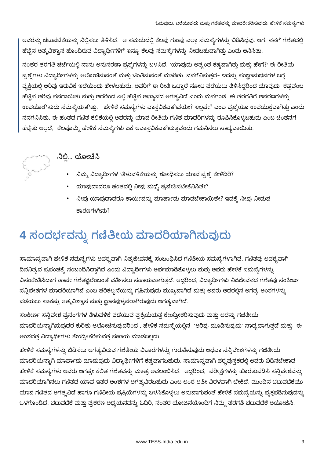ಅವರನ್ನು ಚಟುವಟಿಕೆಯನ್ನು ನಿಲ್ಲಿಸಲು ತಿಳಿಸಿದೆ. ಆ ಸಮಯದಲ್ಲಿ ಕೆಲವು ಗುಂಪು ಎಲ್ಲಾ ಸಮಸ್ಯೆಗಳನ್ನು ಬಿಡಿಸಿದ್ದವು. ಆಗ, ನನಗೆ ಗಣಿತದಲ್ಲಿ ಹೆಚ್ಚಿನ ಆತ್ಮವಿಶ್ವಾಸ ಹೊಂದಿರುವ ವಿದ್ಯಾರ್ಥಿಗಳಿಗೆ ಇನ್ನೂ ಕೆಲವು ಸಮಸ್ಯೆಗಳನ್ನು ನೀಡಬಹುದಾಗಿತ್ತು ಎಂದು ಅನಿಸಿತು.

ನಂತರ ತರಗತಿ ಚರ್ಚೆಯಲ್ಲಿ ನಾನು ಅನುಸರಣಾ ಪ್ರಶ್ನೆಗಳನ್ನು ಬಳಸಿದೆ. `ಯಾವುದು ಅತ್ಯಂತ ಕಷ್ಟವಾಗಿತ್ತು ಮತ್ತು ಹೇಗೆ?' ಈ ರೀತಿಯ ಪ್ರಶ್ನೆಗಳು ವಿದ್ಯಾರ್ಥಿಗಳನ್ನು ಆಲೋಚಿಸುವಂತೆ ಮತ್ತು ಚಿಂತಿಸುವಂತೆ ಮಾಡಿತು. ನನಗೆನಿಸುತ್ತದೆ- ಇದನ್ನು ಸಂಜ್ಞಾನುಭವಗಳ ಬಗ್ಗೆ ವ್ಯಕ್ತಿಯಲ್ಲಿ ಅರಿವು ಇರುವಿಕೆ ಇದೆಯೆಂದು ಹೇಳಬಹುದು. ಅವರಿಗೆ ಈ ರೀತಿ ಒಟ್ಟಾರೆ ನೋಟ ಪಡೆಯಲು ತಿಳಿಸಿದ್ದರಿಂದ ಯಾವುದು ಕಷ್ಟವೆಂಬ ಹೆಚ್ಚಿನ ಅರಿವು ನನಗಾಯಿತು ಮತ್ತು ಅದರಿಂದ ಎಲ್ಲಿ ಹೆಚ್ಚಿನ ಅಭ್ಯಾಸದ ಅಗತ್ಯವಿದೆ ಎಂದು ಮನಗಂಡೆ. ಈ ತರಗತಿಗೆ ಆವರಣಗಳನ್ನು ಉಪಯೋಗಿಸುದು ಸಮಸ್ಯೆಯಾಗಿತ್ತು. ಹೇಳಿಕೆ ಸಮಸ್ಯೆಗಳು ವಾಸ್ತವಿಕವಾಗಿವೆಯೇ? ಇಲ್ಲವೇ? ಎಂಬ ಪ್ರಶ್ನೆಯೂ ಉಪಯುಕ್ತವಾಗಿತ್ತು ಎಂದು ನನಗನಿಸಿತು. ಈ ಹಂತದ ಗಣಿತ ಕಲಿಕೆಯಲ್ಲಿ ಅವರನ್ನು ಯಾವ ರೀತಿಯ ಗಣಿತ ಮಾದರಿಗಳನ್ನು ರೂಪಿಸಿಕೊಳ್ಳಬಹುದು ಎಂಬ ಚಿಂತನೆಗೆ ಹಚ್ಚಿತು ಅಲ್ಲದೆ, ಕೆಲವೊಮ್ಮೆ ಹೇಳಿಕೆ ಸಮಸ್ಯೆಗಳು ಏಕೆ ಅವಾಸ್ತವಿಕವಾಗಿರುತ್ತವೆಂದು ಗಮನಿಸಲು ಸಾಧ್ಯವಾಯಿತು.



### ನಿಲ್ಲಿ... ಯೋಚಿಸಿ

- ನಿಮ್ಮ ವಿದ್ಯಾರ್ಥಿಗಳ `ತಿಳುವಳಿಕೆ'ಯನ್ನು ಶೋಧಿಸಲು ಯಾವ ಪ್ರಶ್ನೆ ಕೇಳಿದಿರಿ?
- ಯಾವುದಾದರೂ ಹಂತದಲ್ಲಿ ನೀವು ಮಧ್ಯೆ ಪ್ರವೇಶಿಸಬೇಕೆನಿಸಿತೇ?
- ನೀವು ಯಾವುದಾದರೂ ಕಾರ್ಯವನ್ನು ಮಾರ್ಪಾಡು ಮಾಡಬೇಕಾಯಿತೇ? ಇದಕ್ಕೆ ನೀವು ನೀಡುವ ಕಾರಣಗಳೇನು?

# 4 ಸಂದರ್ಭವನ್ನು ಗಣಿತೀಯ ಮಾದರಿಯಾಗಿಸುವುದು

ಸಾಮಾನ್ಯವಾಗಿ ಹೇಳಿಕೆ ಸಮಸ್ಯೆಗಳು ಅವಶ್ಯವಾಗಿ ನಿತ್ಯಜೀವನಕ್ಕೆ ಸಂಬಂಧಿಸಿದ ಗಣಿತೀಯ ಸಮಸ್ಯೆಗಳಾಗಿವೆ. ಗಣಿತವು ಅವಶ್ಯವಾಗಿ ದಿನನಿತ್ಯದ ಪ್ರಪಂಚಕ್ಕೆ ಸಂಬಂಧಿಸಿದ್ದಾಗಿದೆ ಎಂದು ವಿದ್ಯಾರ್ಥಿಗಳು ಅರ್ಥಮಾಡಿಕೊಳ್ಳಲು ಮತ್ತು ಅವರು ಹೇಳಿಕೆ ಸಮಸ್ಯೆಗಳನ್ನು ವಿಸಂಕೇತಿಸಿದಾಗ ತಾವೇ ಗಣಿತಜ್ಞರೆಂಬಂತೆ ವರ್ತಿಸಲು ಸಹಾಯವಾಗುತ್ತದೆ. ಆದ್ದರಿಂದ, ವಿದ್ಯಾರ್ಥಿಗಳು ನಿಜಜೀವನದ ಗಣಿತವು ಸಂಕೀರ್ಣ ಸನ್ನಿವೇಶಗಳ ಮಾದರಿಯಾಗಿವೆ ಎಂಬ ಪರಿಕಲ್ಪನೆಯನ್ನು ಗ್ರಹಿಸುವುದು ಮುಖ್ಯವಾಗಿದೆ ಮತ್ತು ಅವರು ಅದರಲ್ಲಿನ ಅಗತ್ಯ ಅಂಶಗಳನ್ನು ಪಡೆಯಲು ಸಾಕಷ್ಟು ಆತ್ಮವಿಶ್ವಾಸ ಮತ್ತು ಜ್ಞಾನವುಳ್ಳವರಾಗಿರುವುದು ಅಗತ್ಯವಾಗಿದೆ.

ಸಂಕೀರ್ಣ ಸನ್ನಿವೇಶ ಪ್ರಸಂಗಗಳ ತಿಳುವಳಿಕೆ ಪಡೆಯುವ ಪ್ರಕ್ರಿಯೆಯತ್ತ ಕೇಂದ್ರೀಕರಿಸುವುದು ಮತ್ತು ಅದನ್ನು ಗಣಿತೀಯ ಮಾದರಿಯನ್ನಾಗಿಸುವುದರ ಕುರಿತು ಆಲೋಚಿಸುವುದರಿಂದ, ಹೇಳಿಕೆ ಸಮಸ್ಯೆಯಲ್ಲಿನ `ಅರಿವು ಮೂಡಿಸುವುದು` ಸಾಧ್ಯವಾಗುತ್ತದೆ ಮತ್ತು ಈ ಅಂಶದತ್ತ ವಿದ್ಯಾರ್ಥಿಗಳು ಕೇಂದ್ರೀಕರಿಸುವತ್ತ ಸಹಾಯ ಮಾಡಬಲ್ಲದು.

ಹೇಳಿಕೆ ಸಮಸ್ಯೆಗಳನ್ನು ಬಿಡಿಸಲು ಅಗತ್ಯವಿರುವ ಗಣಿತೀಯ ವಿಚಾರಗಳನ್ನು ಗುರುತಿಸುವುದು ಅಥವಾ ಸನ್ನಿವೇಶಗಳನ್ನು ಗಣಿತೀಯ ಮಾದರಿಯನ್ನಾಗಿ ಮಾರ್ಪಾಡು ಮಾಡುವುದು ವಿದ್ಯಾರ್ಥಿಗಳಿಗೆ ಕಷ್ಟವಾಗಬಹುದು. ಸಾಮಾನ್ಯವಾಗಿ ಪಠ್ಯಪುಸ್ತಕದಲ್ಲಿ ಅವರು ಬಿಡಿಸಬೇಕಾದ ಹೇಳಿಕೆ ಸಮಸ್ಯೆಗಳು ಅವರು ಆಗಷ್ಟೇ ಕಲಿತ ಗಣಿತವನ್ನು ಮಾತ್ರ ಅವಲಂಬಿಸಿದೆ. ಆದ್ದರಿಂದ, ಪರೀಕ್ಷೆಗಳನ್ನು ಹೊರತುಪಡಿಸಿ ಸನ್ನಿವೇಶವನ್ನು ಮಾದರಿಯಾಗಿಸಲು ಗಣಿತದ ಯಾವ ಇತರ ಅಂಶಗಳ ಅಗತ್ಯವಿರಬಹುದು ಎಂಬ ಅಂಶ ಅತೀ ವಿರಳವಾಗಿ ಬೇಕಿದೆ. ಮುಂದಿನ ಚಟುವಟಿಕೆಯು ಯಾವ ಗಣಿತದ ಅಗತ್ಯವಿದೆ ಹಾಗೂ ಗಣಿತೀಯ ಪ್ರಕ್ರಿಯೆಗಳನ್ನು ಬಳಸಿಕೊಳ್ಳಲು ಅನುವಾಗುವಂತೆ ಹೇಳಿಕೆ ಸಮಸ್ಯೆಯನ್ನು ವ್ಯಕ್ತಪಡಿಸುವುದನ್ನು ಒಳಗೊಂಡಿದೆ. ಚಟುವಟಿಕೆ ಮತ್ತು ಪ್ರಕರಣ ಅಧ್ಯಯನವನ್ನು ಓದಿರಿ, ನಂತರ ಯೋಜನೆಯೊಂದಿಗೆ ನಿಮ್ಮ ತರಗತಿ ಚಟುವಟಿಕೆ ಆಯೋಜಿಸಿ.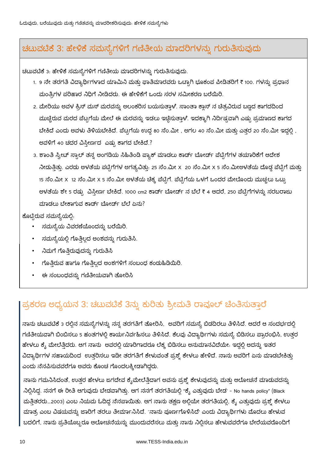### ಚಟುವಟಿಕೆ 3: ಹೇಳಿಕೆ ಸಮಸ್ಯೆಗಳಿಗೆ ಗಣಿತೀಯ ಮಾದರಿಗಳನ್ನು ಗುರುತಿಸುವುದು

ಚಟುವಟಿಕೆ 3: ಹೇಳಿಕೆ ಸಮಸ್ಯೆಗಳಿಗೆ ಗಣಿತೀಯ ಮಾದರಿಗಳನ್ನು ಗುರುತಿಸುವುದು.

- 1. 9 ನೇ ತರಗತಿ ವಿದ್ಯಾರ್ಥಿಗಳಾದ ಯಾಮಿನಿ ಮತ್ತು ಫಾತಿಮಾರವರು ಒಟ್ಟಾಗಿ ಭೂಕಂಪ ಪೀಡಿತರಿಗೆ ₹ 100. ಗಳನ್ನು ಪ್ರಧಾನ ಮಂತ್ರಿಗಳ ಪರಿಹಾರ ನಿಧಿಗೆ ನೀಡಿದರು. ಈ ಹೇಳಿಕೆಗೆ ಒಂದು ಸರಳ ಸಮೀಕರಣ ಬರೆಯಿರಿ.
- 2. ಮೇರಿಯು ಅವಳ ಕ್ರಿಸ್ ಮಸ್ ಮರವನ್ನು ಅಲಂಕರಿಸ ಬಯಸುತ್ತಾಳೆ. ಸಾಂತಾ ಕ್ಲಾಸ್ ನ ಚೆತ್ರವಿರುವ ಬಣ್ಣದ ಕಾಗದದಿಂದ ಮುಚ್ಚಿರುವ ಮರದ ಪೆಟ್ಟಗೆಯ ಮೇಲೆ ಈ ಮರವನ್ನು ಇಡಲು ಇಚ್ಛಿಸುತ್ತಾಳೆ. ಇದಕ್ಕಾಗಿ ನಿರ್ದಿಷ್ಟವಾಗಿ ಎಷ್ಟು ಪ್ರಮಾಣದ ಕಾಗದ ಬೇಕಿದೆ ಎಂದು ಅವಳು ತಿಳಿಯಬೇಕಿದೆ. ಪೆಟ್ಟಗೆಯ ಉದ್ದ 80 ಸೆಂ.ಮೀ , ಅಗಲ 40 ಸೆಂ.ಮೀ ಮತ್ತು ಎತ್ತರ 20 ಸೆಂ.ಮೀ ಇದ್ದಲ್ಲಿ , ಅವಳಿಗೆ 40 ಚದರ ವಿಸ್ತೀರ್ಣದ ಎಷ್ಟು ಕಾಗದ ಬೇಕಿದೆ.?
- 3. ಶಾಂತಿ ಸ್ವೀಟ್ ಸ್ಪಾಲ್ ತನ್ನ ಅಂಗಡಿಯ ಸಿಹಿತಿಂಡಿ ಪ್ಯಾಕ್ ಮಾಡಲು ಕಾರ್ಡ್ ಬೋರ್ಡ್ ಪೆಟ್ರಿಗೆಗಳ ತಯಾರಿಕೆಗೆ ಆದೇಶ ನೀಡುತ್ತಿತ್ತು. ಎರಡು ಅಳತೆಯ ಪಟ್ಟಿಗೆಗಳ ಅಗತ್ಯವಿತ್ತು. 25 ಸೆಂ.ಮೀ x 20 ಸೆಂ.ಮೀ x 5 ಸೆಂ.ಮೀಅಳತೆಯ ದೊಡ್ಡ ಪೆಟ್ಟಿಗೆ ಮತ್ತು 15 ಸೆಂ.ಮೀ x 12 ಸೆಂ.ಮೀ x 5 ಸೆಂ.ಮೀ ಅಳತೆಯ ಚಿಕ್ಕ ಪೆಟ್ಟಿಗೆ. ಪೆಟ್ಟಿಗೆಯ ಒಳಗೆ ಒಂದರ ಮೇಲೊಂದು ಮುಚ್ಚಲು ಒಟ್ಟು . ಅಳತೆಯ ಶೇ 5 ರಷ್ಟು ವಿಸ್ತೀರ್ಣ ಬೇಕಿದೆ. 1000 cm2 ಕಾರ್ಡ್ ಬೋರ್ಡ್ ನ ಬೆಲೆ ₹ 4 ಆದರೆ, 250 ಪೆಟ್ರಿಗೆಗಳನ್ನು ಸರಬರಾಜು ಮಾಡಲು ಬೇಕಾಗುವ ಕಾರ್ಡ್ ಬೋರ್ಡ್ ಬೆಲೆ ಏನು?

ಕೊಟ್ಟಿರುವ ಸಮಸ್ಯೆಯಲ್ಲಿ.

- ್ಸಮಸ್ಯೆಯ ವಿವರಣೆಯೊಂದನ್ನು ಬರೆಯಿರಿ.
- ಸಮಸ್ಯೆಯಲ್ಲಿ ಗೊತ್ತಿಲ್ಲದ ಅಂಶವನ್ನು ಗುರುತಿಸಿ.
- ನಿಮಗೆ ಗೊತ್ತಿರುವುದನ್ನು ಗುರುತಿಸಿ
- ಗೊತ್ತಿರುವ ಹಾಗೂ ಗೊತ್ತಿಲ್ಲದ ಅಂಶಗಳಿಗೆ ಸಂಬಂಧ ಕಂಡುಹಿಡಿಯಿರಿ.
- ಈ ಸಂಬಂಧವನ್ನು ಗಣಿತೀಯವಾಗಿ ತೋರಿಸಿ

### ಪ್ರಕರಣ ಅಧ್ಯಯನ 3: ಚಟುವಟಿಕೆ 3ನ್ನು ಕುರಿತು ಶ್ರೀಮತಿ ರಾವೂಲ್ ಚೆಂತಿಸುತ್ತಾರೆ

ನಾನು ಚಟುವಟಿಕೆ 3 ರಲ್ಲಿನ ಸಮಸ್ಯೆಗಳನ್ನು ನನ್ನ ತರಗತಿಗೆ ತೋರಿಸಿ, ಅವರಿಗೆ ಸಮಸ್ಯೆ ಬಿಡದಿರಲು ತಿಳಿಸಿದೆ. ಆದರೆ ಆ ಸಂದರ್ಭದಲ್ಲಿ ಗಣಿತೀಯವಾಗಿ ಬಿಂಬಿಸಲು 5 ಹಂತಗಳಲ್ಲಿ ಕಾರ್ಯನಿರ್ವಹಿಸಲು ತಿಳಿಸಿದೆ. ಕೆಲವು ವಿದ್ಯಾರ್ಥಿಗಳು ಸಮಸ್ಯೆ ಬಿಡಿಸಲು ಪ್ರಾರಂಭಿಸಿ, ಉತ್ತರ ಹೇಳಲು ಕ್ಶೆ ಮೇಲೆತ್ತಿದರು. ಆಗ ನಾನು ಅವರಲ್ಲಿ ಯಾರಿಗಾದರೂ ಲೆಕ್ಕ ಬಿಡಿಸಲು ಅನುಮಾನವಿದೆಯೇ. ಇದ್ದಲ್ಲಿ ಅದನ್ನು ಇತರ ವಿದ್ಯಾರ್ಥಿಗಳ ಸಹಾಯದಿಂದ ಉತ್ತರಿಸಲು ಇಡೀ ತರಗತಿಗೆ ಕೇಳುವಂತೆ ಪ್ರಶ್ನೆ ಕೇಳಲು ಹೇಳಿದೆ. ನಾನು ಅವರಿಗೆ ಏನು ಮಾಡಬೇಕಿತ್ತು ಎಂದು ನೆನಪಿಸುವವರೆಗೂ ಅವರು ಕೊಂಚ ಗೊಂದಲಕ್ಕೀಡಾಗಿದ್ದರು.

ನಾನು ಗಮನಿಸಿದಂತೆ, ಉತ್ತರ ಹೇಳಲು ಜಗದೇವ ಕೈಮೇಲೆತ್ತಿದಾಗ ಅವನು ಪ್ರಶ್ನೆ ಕೇಳುವುದನ್ನು ಮತ್ತು ಆಲೋಚನೆ ಮಾಡುವದನ್ನು ನಿಲ್ಲಿಸಿದ್ದ. ನನಗೆ ಈ ರೀತಿ ಆಗುವುದು ಬೇಡವಾಗಿತ್ತು. ಆಗ ನನಗೆ ತರಗತಿಯಲ್ಲಿ "ಕ್ಶೆ ಎತ್ತುವುದು ಬೇಡ' - No hands policy" (Black ಮತ್ತಿತರರು...2003) ಎಂಬ ನಿಯಮ ಓದಿದ್ದ ನೆನಪಾಯಿತು. ಆಗ ನಾನು ತಕ್ಷಣ ಅಲ್ಲಿಯೇ ತರಗತಿಯಲ್ಲಿ, ಕ್ಶೆ ಎತ್ತುವುದು ಪ್ರಶ್ನೆ ಕೇಳಲು ಮಾತ್ರ ಎಂಬ ವಿಷಯವನ್ನು ಜಾರಿಗೆ ತರಲು ತೀರ್ಮಾನಿಸಿದೆ. `ನಾನು ಪೂರ್ಣಗೊಳಿಸಿದೆ' ಎಂದು ವಿದ್ಯಾರ್ಥಿಗಳು ಮೊದಲು ಹೇಳುವ ಬದಲಿಗೆ, ನಾನು ಪ್ರತಿಯೊಬ್ಬರೂ ಆಲೋಚನೆಯನ್ನು ಮುಂದುವರೆಸಲು ಮತ್ತು ನಾನು ನಿಲ್ಲಿಸಲು ಹೇಳುವವರೆಗೂ ಬೇರೆಯವರೊಂದಿಗೆ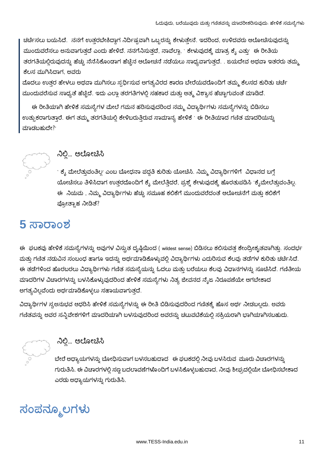ಚರ್ಚಿಸಲು ಬಯಸಿದೆ. ನನಗೆ ಉತ್ತರಬೇಕಿದ್ದಾಗ ನಿರ್ದಿಷ್ಟವಾಗಿ ಒಬ್ಬರನ್ನು ಕೇಳುತ್ತೇನೆ. ಇದರಿಂದ, ಉಳಿದವರು ಆಲೋಚಿಸುವುದನ್ನು ಮುಂದುವರೆಸಲು ಅನುವಾಗುತ್ತದೆ ಎಂದು ಹೇಳಿದೆ. ನನಗೆನಿಸುತ್ತದೆ, ನಾವೆಲ್ಲಾ, ` ಕೇಳುವುದಕ್ಕೆ ಮಾತ್ರ ಕೈ ಎತ್ತು' ಈ ರೀತಿಯ ತರಗತಿಯಲ್ಲಿರುವುದನ್ನು ಹೆಚ್ಚು ನೆನೆಸಿಕೊಂಡಾಗ ಹೆಚ್ಚಿನ ಆಲೋಚನೆ ನಡೆಯಲು ಸಾಧ್ಯವಾಗುತ್ತದೆ. . ಜಯದೇವ ಅಥವಾ ಇತರರು ತಮ್ಮ ಕೆಲಸ ಮುಗಿಸಿದಾಗ, ಅವರು

ಮೊದಲು ಉತ್ತರ ಹೇಳಲು ಅಥವಾ ಮುಗಿಸಲು ಸ್ಪರ್ಧಿಸುವ ಅಗತ್ಯವಿರದ ಕಾರಣ ಬೇರೆಯವರೊಂದಿಗೆ ತಮ್ಮ ಕೆಲಸದ ಕುರಿತು ಚರ್ಚೆ ಮುಂದುವರೆಸುವ ಸಾಧ್ಯತೆ ಹೆಚ್ಚಿದೆ. ಇದು ಎಲ್ಲಾ ತರಗತಿಗಳಲ್ಲಿ ಸಹಕಾರ ಮತ್ತು ಆತ್ಮ ವಿಶ್ವಾಸ ಹೆಚ್ಚಾಗುವಂತೆ ಮಾಡಿದೆ.

ಈ ರೀತಿಯಾಗಿ ಹೇಳಿಕೆ ಸಮಸ್ಯೆಗಳ ಮೇಲೆ ಗಮನ ಹರಿಸುವುದರಿಂದ ನಮ್ಮ ವಿದ್ಯಾರ್ಥಿಗಳು ಸಮಸ್ಯೆಗಳನ್ನು ಬಿಡಿಸಲು ಉತ್ಸುಕರಾಗುತ್ತಾರೆ. ಈಗ ತಮ್ಮ ತರಗತಿಯಲ್ಲಿ ಕೇಳಿಬರುತ್ತಿರುವ ಸಾಮಾನ್ಯ ಹೇಳಿಕೆ ` ಈ ರೀತಿಯಾದ ಗಣಿತ ಮಾದರಿಯನ್ನು ಮಾಡಬಹುದೇ?



### ನಿಲ್ಲಿ... ಆಲೋಚಿಸಿ

` ಕ್ಶೆ ಮೇಲೆತ್ತುವಂತಿಲ್ಲ' ಎಂಬ ಬೋಧನಾ ಪದ್ಧತಿ ಕುರಿತು ಯೋಚಿಸಿ. ನಿಮ್ಮ ವಿದ್ಯಾರ್ಥಿಗಳಿಗೆ ವಿಧಾನದ ಬಗ್ಗೆ ಯೋಚಿಸಲು ತಿಳಿಸಿದಾಗ ಉತ್ತರದೊಂದಿಗೆ ಕ್ಯೆ ಮೇಲೆತ್ತಿದರೆ, ಪ್ರಶ್ನೆ ಕೇಳುವುದಕ್ಕೆ ಹೊರತುಪಡಿಸಿ `ಕೈಮೇಲೆತ್ತುವಂತಿಲ್ಲ. ಈ ನಿಯಮ , ನಿಮ್ಮ ವಿದ್ಯಾರ್ಥಿಗಳು ಹೆಚ್ಚು ಸಮೂಹ ಕಲಿಕೆಗೆ ಮುಂದುವರೆದಂತೆ ಆಲೋಚನೆಗೆ ಮತ್ತು ಕಲಿಕೆಗೆ ಪ್ರೋತ್ಸಾಹ ನೀಡಿತೆ?

### 5 ಸಾರಾಂಶ

ಈ ಘಟಕವು ಹೇಳಿಕೆ ಸಮಸ್ಯೆಗಳನ್ನು ಅವುಗಳ ವಿಸ್ತುತ ದೃಷ್ಠಿಯಿಂದ ( wildest sense) ಬಿಡಿಸಲು ಕಲಿಸುವತ್ತ ಕೇಂದ್ರೀಕೃತವಾಗಿತ್ತು. ಸಂದರ್ಭ ಮತ್ತು ಗಣಿತ ನಡುವಿನ ಸಂಬಂಧ ಹಾಗೂ ಇದನ್ನು ಅರ್ಥಮಾಡಿಕೊಳ್ಳುವಲ್ಲಿ ವಿದ್ಯಾರ್ಥಿಗಳು ಎದುರಿಸುವ ಕೆಲವು ತಡೆಗಳ ಕುರಿತು ಚರ್ಚಿಸಿದೆ. ಈ ತಡೆಗಳಿಂದ ಹೊರಬರಲು ವಿದ್ಯಾರ್ಥಿಗಳು ಗಣಿತ ಸಮಸ್ಯೆಯನ್ನು ಓದಲು ಮತ್ತು ಬರೆಯಲು ಕೆಲವು ವಿಧಾನಗಳನ್ನು ಸೂಚಿಸಿದೆ. ಗಣಿತೀಯ ಮಾದರಿಗಳ ವಿಚಾರಗಳನ್ನು ಬಳಸಿಕೊಳ್ಳುವುದರಿಂದ ಹೇಳಿಕೆ ಸಮಸ್ಯೆಗಳು ನಿತ್ಯ ಜೀವನದ ನೈಜ ನಿರೂಪಣೆಯೇ ಆಗಬೇಕಾದ ಅಗತ್ಯವಿಲ್ಲವೆಂದು ಅರ್ಥಮಾಡಿಕೊಳ್ಳಲು ಸಹಾಯವಾಗುತ್ತದೆ.

ವಿದ್ಯಾರ್ಥಿಗಳ ಸ್ವಅನುಭವ ಆಧರಿಸಿ ಹೇಳಿಕೆ ಸಮಸ್ಯೆಗಳನ್ನು ಈ ರೀತಿ ಬಿಡಿಸುವುದರಿಂದ ಗಣಿತಕ್ಕೆ ಹೊಸ ಅರ್ಥ ನೀಡಬಲ್ಲದು. ಅವರು ಗಣಿತವನ್ನು ಅವರ ಸನ್ನಿವೇಶಗಳಿಗೆ ಮಾದರಿಯಾಗಿ ಬಳಸುವುದರಿಂದ ಅವರನ್ನು ಚಟುವಟಿಕೆಯಲ್ಲಿ ಸಕ್ರಿಯರಾಗಿ ಭಾಗಿಯಾಗಿಸಬಹುದು.



### ನಿಲ್ಲಿ... ಆಲೋಚಿಸಿ

ಬೇರೆ ಅಧ್ಯಾಯಗಳನ್ನು ಬೋಧಿಸುವಾಗ ಬಳಸಬಹುದಾದ ಈ ಘಟಕದಲ್ಲಿ ನೀವು ಬಳಸಿರುವ ಮೂರು ವಿಚಾರಗಳನ್ನು ಗುರುತಿಸಿ. ಈ ವಿಚಾರಗಳಲ್ಲಿ ಸಣ್ಣ ಬದಲಾವಣೆಗಳೊಂದಿಗೆ ಬಳಸಿಕೊಳ್ಳಬಹುದಾದ, ನೀವು ಶೀಘ್ರದಲ್ಲಿಯೇ ಬೋಧಿಸಬೇಕಾದ ಎರಡು ಅಧ್ಯಾಯಗಳನ್ನು ಗುರುತಿಸಿ.

ಸಂಪನ್ಮೂಲಗಳು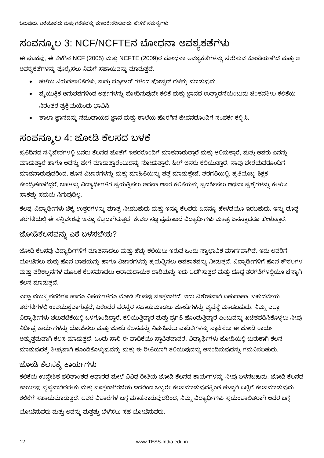### ಸಂಪನ್ಮೂಲ 3: NCF/NCFTEನ ಬೋಧನಾ ಅವಶ್ಯಕತೆಗಳು

ಈ ಘಟಕವು, ಈ ಕೆಳಗಿನ NCF (2005) ಮತ್ತು NCFTE (2009)ರ ಬೋಧನಾ ಅವಶ್ಯಕತೆಗಳನ್ನು ಸೇರಿಸುವ ಕೊಂಡಿಯಾಗಿದೆ ಮತ್ತು ಆ ಅವಶ್ಯಕತೆಗಳನ್ನು ಪೂರೈಸಲು ನಿಮಗೆ ಸಹಾಯವನ್ನು ಮಾಡುತ್ತದೆ.

- ಹಳೆಯ ನಿಯತಕಾಲಿಕೆಗಳು, ಮತ್ತು ಬ್ರೋಚರ್ ಗಳಿಂದ ಪೋಸ್ಸರ್ ಗಳನ್ನು ಮಾಡುವುದು.
- ್ಕುಯುಕ್ತಿಕ ಅನುಭವಗಳಿಂದ ಅರ್ಥಗಳನ್ನು ಶೋಧಿಸುವುದೇ ಕಲಿಕೆ ಮತ್ತು ಜ್ಞಾನದ ಉತ್ಪಾದನೆಯೆಂಬುದು ಚಿಂತನಶೀಲ ಕಲಿಕೆಯ ನಿರಂತರ ಪ್ರಕ್ರಿಯೆಯೆಂದು ಭಾವಿಸಿ.
- ಶಾಲಾ ಜ್ಞಾನವನ್ನು ಸಮುದಾಯದ ಜ್ಞಾನ ಮತ್ತು ಶಾಲೆಯ ಹೊರಗಿನ ಜೀವನದೊಂದಿಗೆ ಸಂಪರ್ಕ ಕಲ್ಪಿಸಿ.

### ಸಂಪನ್ಮೂಲ 4: ಜೋಡಿ ಕೆಲಸದ ಬಳಕೆ

ಪ್ರತಿದಿನದ ಸನ್ನಿವೇಶಗಳಲ್ಲಿ ಜನರು ಕೆಲಸದ ಜೊತೆಗೆ ಇತರರೊಂದಿಗೆ ಮಾತನಾಡುತ್ತಾರೆ ಮತ್ತು ಆಲಿಸುತ್ತಾರೆ, ಮತ್ತು ಅವರು ಏನನ್ನು ಮಾಡುತ್ತಾರೆ ಹಾಗೂ ಅದನ್ನು ಹೇಗೆ ಮಾಡುತ್ತಾರೆಂಬುದನ್ನು ನೋಡುತ್ತಾರೆ. ಹೀಗೆ ಜನರು ಕಲಿಯುತ್ತಾರೆ. ನಾವು ಬೇರೆಯವರೊಂದಿಗೆ ಮಾಡನಾಡುವುದರಿಂದ, ಹೊಸ ವಿಚಾರಗಳನ್ನು ಮತ್ತು ಮಾಹಿತಿಯನ್ನು ಪತ್ತೆ ಮಾಡುತ್ತೇವೆ. ತರಗತಿಯಲ್ಲಿ, ಪ್ರತಿಯೊಬ್ಬ ಶಿಕ್ಷಕ ಕೇಂದ್ರಿತವಾಗಿದ್ದರೆ, ಬಹಳಷ್ಟು ವಿದ್ಯಾರ್ಥಿಗಳಿಗೆ ಪ್ರಯತ್ನಿಸಲು ಅಥವಾ ಅವರ ಕಲಿಕೆಯನ್ನು ಪ್ರದರ್ಶಿಸಲು ಅಥವಾ ಪ್ರಶ್ನೆಗಳನ್ನು ಕೇಳಲು ಸಾಕಷ್ಟು ಸಮಯ ಸಿಗುವುದಿಲ್ಲ.

ಕೆಲವು ವಿದ್ಯಾರ್ಥಿಗಳು ಚಿಕ್ಕ ಉತ್ತರಗಳನ್ನು ಮಾತ್ರ ನೀಡಬಹುದು ಮತ್ತು ಇನ್ನೂ ಕೆಲವರು ಏನನ್ನೂ ಹೇಳದೆಯೂ ಇರಬಹುದು. ಇನ್ನು ದೊಡ್ಡ ತರಗತಿಯಲ್ಲಿ ಈ ಸನ್ನಿವೇಶವು ಇನ್ನೂ ಕೆಟ್ಟದಾಗಿರುತ್ತದೆ, ಕೇವಲ ಸಣ್ಣ ಪ್ರಮಾಣದ ವಿದ್ಯಾರ್ಥಿಗಳು ಮಾತ್ರ ಏನನ್ನಾದರೂ ಹೇಳುತ್ತಾರೆ.

#### ಜೋಡಿಕೆಲಸವನ್ನು ಏಕೆ ಬಳಸಬೇಕು?

ಜೋಡಿ ಕೆಲಸವು ವಿದ್ಯಾರ್ಥಿಗಳಿಗೆ ಮಾತನಾಡಲು ಮತ್ತು ಹೆಚ್ಚು ಕಲಿಯಲು ಇರುವ ಒಂದು ಸ್ವಾಭಾವಿಕ ಮಾರ್ಗವಾಗಿದೆ. ಇದು ಅವರಿಗೆ ಯೋಚಿಸಲು ಮತ್ತು ಹೊಸ ಭಾಷೆಯನ್ನು ಹಾಗೂ ವಿಚಾರಗಳನ್ನು ಪ್ರಯತ್ನಿಸಲು ಅವಕಾಶವನ್ನು ನೀಡುತ್ತದೆ. ವಿದ್ಯಾರ್ಥಿಗಳಿಗೆ ಹೊಸ ಕೌಶಲಗಳ ಮತ್ತು ಪರಿಕಲ್ಪನೆಗಳ ಮೂಲಕ ಕೆಲಸಮಾಡಲು ಆರಾಮದಾಯಕ ದಾರಿಯನ್ನು ಇದು ಒದಗಿಸುತ್ತದೆ ಮತ್ತು ದೊಡ್ಡ ತರಗತಿಗಳಲ್ಲಿಯೂ ಚೆನ್ನಾಗಿ ಕೆಲಸ ಮಾಡುತದೆ.

ಎಲ್ಲಾ ವಯಸ್ಸಿನವರಿಗೂ ಹಾಗೂ ವಿಷಯಗಳಿಗೂ ಜೋಡಿ ಕೆಲಸವು ಸೂಕ್ತವಾಗಿದೆ. ಇದು ವಿಶೇಷವಾಗಿ ಬಹುಭಾಷಾ, ಬಹುದರ್ಜೆಯ ತರಗತಿಗಳಲ್ಲಿ ಉಪಯುಕ್ತವಾಗುತ್ತದೆ, ಏಕೆಂದರೆ ಪರಸ್ಪರ ಸಹಾಯಮಾಡಲು ಜೋಡಿಗಳನ್ನು ವ್ಯವಸ್ಥೆ ಮಾಡಬಹುದು. ನಿಮ್ಮ ಎಲ್ಲಾ ವಿದ್ಯಾರ್ಥಿಗಳು ಚಟುವಟಿಕೆಯಲ್ಲಿ ಒಳಗೊಂಡಿದ್ದಾರೆ, ಕಲಿಯುತ್ತಿದ್ದಾರೆ ಮತ್ತು ಪ್ರಗತಿ ಹೊಂದುತ್ತಿದ್ದಾರೆ ಎಂಬುದನ್ನು ಖಚಿತಪಡಿಸಿಕೊಳ್ಳಲು ನೀವು ನಿರ್ದಿಷ್ಟ ಕಾರ್ಯಗಳನ್ನು ಯೋಜಿಸಲು ಮತ್ತು ಜೋಡಿ ಕೆಲಸವನ್ನು ನಿರ್ವಹಿಸಲು ವಾಡಿಕೆಗಳನ್ನು ಸ್ಥಾಪಿಸಲು ಈ ಜೋಡಿ ಕಾರ್ಯ ಅತ್ಯುತ್ತಮವಾಗಿ ಕೆಲಸ ಮಾಡುತ್ತದೆ. ಒಂದು ಸಾರಿ ಈ ವಾಡಿಕೆಯು ಸ್ಥಾಪಿತವಾದರೆ, ವಿದ್ಯಾರ್ಥಿಗಳು ಜೋಡಿಯಲ್ಲಿ ಚುರುಕಾಗಿ ಕೆಲಸ ಮಾಡುವುದಕ್ಕೆ ಶೀಘ್ರವಾಗಿ ಹೊಂದಿಕೊಳ್ಳುವುದನ್ನು ಮತ್ತು ಈ ರೀತಿಯಾಗಿ ಕಲಿಯುವುದನ್ನು ಆನಂದಿಸುವುದನ್ನು ಗಮನಿಸಬಹುದು.

#### ಜೋಡಿ ಕೆಲಸಕ್ಕೆ ಕಾರ್ಯಗಳು

ಕಲಿಕೆಯ ಉದ್ದೇಶಿತ ಫಲಿತಾಂಶದ ಆಧಾರದ ಮೇಲೆ ವಿವಿಧ ರೀತಿಯ ಜೋಡಿ ಕೆಲಸದ ಕಾರ್ಯಗಳನ್ನು ನೀವು ಬಳಸಬಹುದು. ಜೋಡಿ ಕೆಲಸದ ಕಾರ್ಯವು ಸೃಷ್ಟವಾಗಿರಬೇಕು ಮತ್ತು ಸೂಕ್ತವಾಗಿರಬೇಕು ಇದರಿಂದ ಒಬ್ಬರೇ ಕೆಲಸಮಾಡುವುದಕ್ಕಿಂತ ಹೆಚ್ಚಾಗಿ ಒಟ್ಟಿಗೆ ಕೆಲಸಮಾಡುವುದು ಕಲಿಕೆಗೆ ಸಹಾಯಮಾಡುತ್ತದೆ. ಅವರ ವಿಚಾರಗಳ ಬಗ್ಗೆ ಮಾತನಾಡುವುದರಿಂದ, ನಿಮ್ಮ ವಿದ್ಯಾರ್ಥಿಗಳು ಸ್ವಯಂಚಾಲಿತರಾಗಿ ಅದರ ಬಗ್ಗೆ ಯೋಚಿಸುವರು ಮತ್ತು ಅದನ್ನು ಮತ್ತಷ್ಟು ಬೆಳೆಸಲು ಸಹ ಯೋಚಿಸುವರು.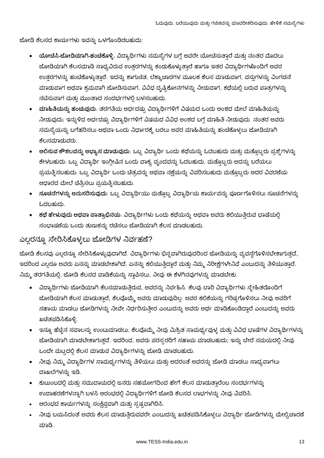ಜೋಡಿ ಕೆಲಸದ ಕಾರ್ಯಗಳು ಇವನ್ನು ಒಳಗೊಂಡಿರಬಹುದು:

- ಯೋಚಿಸಿ-ಜೋಡಿಯಾಗಿ-ಹಂಚಿಕೊಳ್ಳಿ. ವಿದ್ಯಾರ್ಥಿಗಳು ಸಮಸ್ಯೆಗಳ ಬಗ್ಗೆ ಅವರೇ ಯೋಚಿಸುತ್ತಾರೆ ಮತ್ತು ನಂತರ ಮೊದಲು ಜೋಡಿಯಾಗಿ ಕೆಲಸಮಾಡಿ ಸಾಧ್ಯವಿರುವ ಉತ್ತರಗಳನ್ನು ಕಂಡುಕೊಳ್ಳುತ್ತಾರೆ ಹಾಗೂ ಇತರ ವಿದ್ಯಾರ್ಥಿಗಳೊಂದಿಗೆ ಅವರ ಉತ್ತರಗಳನ್ನು ಹಂಚಿಕೊಳ್ಳುತ್ತಾರೆ. ಇದನ್ನು ಕಾಗುಣಿತ, ಲೆಕ್ಕಾಚಾರಗಳ ಮೂಲಕ ಕೆಲಸ ಮಾಡುವಾಗ, ವಸ್ತುಗಳನ್ನು ವಿಂಗಡನೆ ಮಾಡುವಾಗ ಅಥವಾ ಕ್ರಮವಾಗಿ ಜೋಡಿಸುವಾಗ, ವಿವಿಧ ದೃಷ್ಟಿಕೋನಗಳನ್ನು ನೀಡುವಾಗ, ಕಥೆಯಲ್ಲಿ ಬರುವ ಪಾತ್ರಗಳನ್ನು ನಟಿಸುವಾಗ ಮತು ಮುಂತಾದ ಸಂದರ್ಭಗಳಲ್ಲಿ ಬಳಸಬಹುದು.
- ್ಷವಾಹಿತಿಯನ್ನು ಹಂಚುವುದು. ತರಗತಿಯ ಅರ್ಧದಷ್ಟು ವಿದ್ಯಾರ್ಥಿಗಳಿಗೆ ವಿಷಯದ ಒಂದು ಅಂಶದ ಮೇಲೆ ಮಾಹಿತಿಯನ್ನು ನೀಡುವುದು, ಇನ್ನುಳಿದ ಅರ್ಧದಷ್ಟು ವಿದ್ಯಾರ್ಥಿಗಳಿಗೆ ವಿಷಯದ ವಿವಿಧ ಅಂಶದ ಬಗ್ಗೆ ಮಾಹಿತಿ ನೀಡುವುದು. ನಂತರ ಅವರ<mark>ು</mark> ಸಮಸ್ಯೆಯನ್ನು ಬಗೆಹರಿಸಲು ಅಥವಾ ಒಂದು ನಿರ್ಧಾರಕ್ಕೆ ಬರಲು ಅವರ ಮಾಹಿತಿಯನ್ನು ಹಂಚಿಕೊಳ್ಳಲು ಜೋಡಿಯಾಗಿ ಕೆಲಸಮಾದುವರು.
- ಆಲಿಸುವ ಕೌಶಲವನ್ನು ಅಭ್ಯಾಸ ಮಾಡುವುದು. ಒಬ್ಬ ವಿದ್ಯಾರ್ಥಿ ಒಂದು ಕಥೆಯನ್ನು ಓದಬಹುದು ಮತ್ತು ಮತ್ತೊಬ್ಬರು ಪ್ರಶ್ನೆಗಳನ್ನು ಕೇಳಬಹುದು. ಒಬ್ಬ ವಿದ್ಯಾರ್ಥಿ ಇಂಗ್ಲೀಷಿನ ಒಂದು ವಾಕ್ಯ ವೃಂದವನ್ನು ಓದಬಹುದು, ಮತ್ತೊಬ್ಬರು ಅದನ್ನು ಬರೆಯಲು ಪ್ರಯತ್ನಿಸಬಹುದು. ಒಬ್ಬ ವಿದ್ಯಾರ್ಥಿ ಒಂದು ಚಿತ್ರವನ್ನು ಅಥವಾ ನಕ್ಷೆಯನ್ನು ವಿವರಿಸಬಹುದು ಮತ್ತೊಬ್ಬರು ಅದರ ವಿವರಣೆಯ ಆಧಾರದ ಮೇಲೆ ಚಿತ್ರಿಸಲು ಪ್ರಯತ್ನಿಸಬಹುದು.
- ಸೂಚನೆಗಳನ್ನು ಅನುಸರಿಸುವುದು. ಒಬ್ಬ ವಿದ್ಯಾರ್ಥಿಯು ಮತ್ತೊಬ್ಬ ವಿದ್ಯಾರ್ಥಿಯ ಕಾರ್ಯವನ್ನು ಪೂರ್ಣಗೊಳಿಸಲು ಸೂಚನೆಗಳನ್ನು ಓದಬಹುದು.
- ್**ಕಥೆ ಹೇಳುವುದು ಅಥವಾ ಪಾತ್ರಾಭಿನಯ**: ವಿದ್ಯಾರ್ಥಿಗಳು ಒಂದು ಕಥೆಯನ್ನು ಅಥವಾ ಅವರು ಕಲಿಯುತ್ತಿರುವ ಭಾಷೆಯಲ್ಲಿ ಸಂಭಾಷಣೆಯ ಒಂದು ತುಣುಕನ್ನು ರಚೆಸಲು ಜೋಡಿಯಾಗಿ ಕೆಲಸ ಮಾಡಬಹುದು.

### ಎಲ್ಲರನ್ನೂ ಸೇರಿಸಿಕೊಳ್ಳಲು ಜೋಡಿಗಳ ನಿರ್ವಹಣೆ?

ಜೋಡಿ ಕೆಲಸವು ಎಲ್ಲರನ್ನೂ ಸೇರಿಸಿಕೊಳ್ಳುವುದಾಗಿದೆ. ವಿದ್ಯಾರ್ಥಿಗಳು ಭಿನ್ನವಾಗಿರುವುದರಿಂದ ಜೋಡಿಯನ್ನು ವ್ಯವಸ್ಥೆಗೊಳಿಸಬೇಕಾಗುತ್ತದೆ, ಇದರಿಂದ ಎಲ್ಲರೂ ಅವರು ಏನನ್ನು ಮಾಡಬೇಕಾಗಿದೆ, ಏನನ್ನು ಕಲಿಯುತ್ತಿದ್ದಾರೆ ಮತ್ತು ನಿಮ್ಮ ನಿರೀಕ್ಷೆಗಳೇನಿವೆ ಎಂಬುದನ್ನು ತಿಳಿಯುತ್ತಾರೆ. ನಿಮ್ಮ ತರಗತಿಯಲ್ಲಿ, ಜೋಡಿ ಕೆಲಸದ ವಾಡಿಕೆಯನ್ನು ಸ್ಥಾಪಿಸಲು, ನೀವು ಈ ಕೆಳಗಿನವುಗಳನ್ನು ಮಾಡಬೇಕು.

- ವಿದ್ಯಾರ್ಥಿಗಳು ಜೋಡಿಯಾಗಿ ಕೆಲಸಮಾಡುತ್ತಿರುವ, ಅವರನ್ನು ನಿರ್ವಹಿಸಿ. ಕೆಲವು ಬಾರಿ ವಿದ್ಯಾರ್ಥಿಗಳು ಸ್ತೇಹಿತರೊಂದಿಗೆ ಜೋಡಿಯಾಗಿ ಕೆಲಸ ಮಾಡುತ್ತಾರೆ, ಕೆಲವೊಮ್ಮೆ ಅವರು ಮಾಡುವುದಿಲ್ಲ. ಅವರ ಕಲಿಕೆಯನ್ನು ಗರಿಷ್ಟಗೊಳಿಸಲು ನೀವು ಅವರಿಗೆ ಸಹಾಯ ಮಾಡಲು ಜೋಡಿಗಳನ್ನು ನೀವೇ ನಿರ್ಧರಿಸುತ್ತೀರ ಎಂಬುದನ್ನು ಅವರು ಅರ್ಥ ಮಾಡಿಕೊಂಡಿದ್ದಾರೆ ಎಂಬುದನ್ನು ಅವರು ಖಚಿತಪಡಿಸಿಕೊಳ್ಳಿ.
- ಇನ್ನೂ ಹೆಚ್ಚಿನ ಸವಾಲನ್ನು ಉಂಟುಮಾಡಲು, ಕೆಲವೊಮ್ಮೆ ನೀವು ಮಿಶ್ರಿತ ಸಾಮರ್ಥ್ಯವುಳ್ಳ ಮತ್ತು ವಿವಿಧ ಭಾಷೆಗಳ ವಿದ್ಯಾರ್ಥಿಗಳನ್ನು ಜೋಡಿಯಾಗಿ ಮಾಡಬೇಕಾಗುತ್ತದೆ. ಇದರಿಂದ, ಅವರು ಪರಸ್ಪರರಿಗೆ ಸಹಾಯ ಮಾಡಬಹುದು; ಇನ್ನು ಬೇರೆ ಸಮಯದಲ್ಲಿ ನೀವು ಒಂದೇ ಮಟ್ಟದಲ್ಲಿ ಕೆಲಸ ಮಾಡುವ ವಿದ್ಯಾರ್ಥಿಗಳನ್ನು ಜೋಡಿ ಮಾಡಬಹುದು.
- ನೀವು ನಿಮ್ಮ ವಿದ್ಯಾರ್ಥಿಗಳ ಸಾಮರ್ಥ್ಯಗಳನ್ನು ತಿಳಿಯಲು ಮತ್ತು ಅದರಂತೆ ಅವರನ್ನು ಜೋಡಿ ಮಾಡಲು ಸಾಧ್ಯವಾಗಲು ದಾಖಲೆಗಳನ್ನು ಇಡಿ.
- ಕುಟುಂಬದಲ್ಲಿ ಮತ್ತು ಸಮುದಾಯದಲ್ಲಿ ಜನರು ಸಹಯೋಗದಿಂದ ಹೇಗೆ ಕೆಲಸ ಮಾಡುತ್ತಾರೆಂಬ ಸಂದರ್ಭಗಳನ್ನು ಉದಾಹರಣೆಗಳನ್ನಾಗಿ ಬಳಸಿ ಆರಂಭದಲ್ಲಿ ವಿದ್ಯಾರ್ಥಿಗಳಿಗೆ ಜೋಡಿ ಕೆಲಸದ ಲಾಭಗಳನ್ನು ನೀವು ವಿವರಿಸಿ.
- ಆರಂಭದ ಕಾರ್ಯಗಳನ್ನು ಸಂಕ್ಷಿಪ್ತವಾಗಿ ಮತ್ತು ಸೃಷ್ಟವಾಗಿರಿಸಿ.
- ನೀವು ಬಯಸಿದಂತೆ ಅವರು ಕೆಲಸ ಮಾಡುತ್ತಿರುವವರೇ ಎಂಬುದನ್ನು ಖಚಿತಪಡಿಸಿಕೊಳ್ಳಲು ವಿದ್ಯಾರ್ಥಿ ಜೋಡಿಗಳನ್ನು ಮೇಲ್ವಿಚಾರಣೆ ಮಾಡಿ.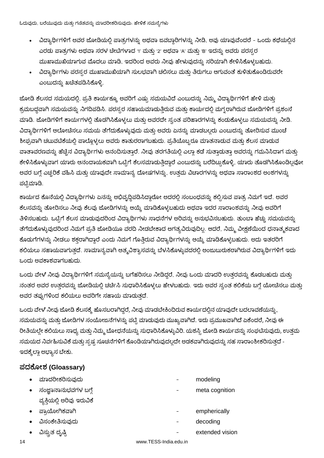- ವಿದ್ಯಾರ್ಥಿಗಳಿಗೆ ಅವರ ಜೋಡಿಯಲ್ಲಿ ಪಾತ್ರಗಳನ್ನು ಅಥವಾ ಜವಬ್ದಾರಿಗಳನ್ನು ನೀಡಿ, ಅವು ಯಾವುವೆಂದರೆ ಒಂದು ಕಥೆಯಲ್ಲಿನ ಎರಡು ಪಾತ್ರಗಳು ಅಥವಾ ಸರಳ ಚೀಟಿಗಳಾದ 'i' ಮತ್ತು '2' ಅಥವಾ 'A' ಮತ್ತು 'B' ಇದನ್ನು ಅವರು ಪರಸ್ಪರ ಮುಖಾಮುಖಿಯಾಗುವ ಮೊದಲು ಮಾಡಿ, ಇದರಿಂದ ಅವರು ನೀವು ಹೇಳುವುದನ್ನು ಸರಿಯಾಗಿ ಕೇಳಿಸಿಕೊಳ್ಳಬಹುದು.
- ವಿದ್ಯಾರ್ಥಿಗಳು ಪರಸ್ಸರ ಮುಖಾಮುಖಿಯಾಗಿ ಸುಲಭವಾಗಿ ಚಲಿಸಲು ಮತ್ತು ತಿರುಗಲು ಆಗುವಂತೆ ಕುಳಿತುಕೊಂಡಿರುವರೇ ಎಂಬುದನ್ನು ಖಚಿತಪಡಿಸಿಕೊಳ್ಳಿ.

ಜೋಡಿ ಕೆಲಸದ ಸಮಯದಲ್ಲಿ, ಪ್ರತಿ ಕಾರ್ಯಕ್ಕೂ ಅವರಿಗೆ ಎಷ್ಟು ಸಮಯವಿದೆ ಎಂಬುದನ್ನು ನಿಮ್ಮ ವಿದ್ಯಾರ್ಥಿಗಳಿಗೆ ಹೇಳಿ ಮತ್ತು ಕ್ರಮಬದ್ಧವಾಗಿ ಸಮಯವನ್ನು ನಿಗದಿಪಡಿಸಿ. ಪರಸ್ಪರ ಸಹಾಯಮಾಡುತ್ತಿರುವ ಮತ್ತು ಕಾರ್ಯದಲ್ಲಿ ಮಗ್ನರಾಗಿರುವ ಜೋಡಿಗಳಿಗೆ ಪ್ರಶಂಸೆ ಮಾಡಿ. ಜೋಡಿಗಳಿಗೆ ಕಾರ್ಯಗಳಲ್ಲಿ ತೊಡಗಿಸಿಕೊಳ್ಳಲು ಮತ್ತು ಅವರದೇ ಸ್ವಂತ ಪರಿಹಾರಗಳನ್ನು ಕಂಡುಕೊಳ್ಳಲು ಸಮಯವನ್ನು ನೀಡಿ. ವಿದ್ಯಾರ್ಥಿಗಳಿಗೆ ಆಲೋಚಿಸಲು ಸಮಯ ತೆಗೆದುಕೊಳ್ಳುವುದು ಮತ್ತು ಅವರು ಏನನ್ನು ಮಾಡಬಲ್ಲರು ಎಂಬುದನ್ನು ತೋರಿಸುವ ಮುಂಚೆ ಶೀಘ್ರವಾಗಿ ಚಟುವಟಿಕೆಯಲ್ಲಿ ಪಾಲ್ಗೊಳ್ಳಲು ಅವರು ಕಾತುರರಾಗಬಹುದು. ಪ್ರತಿಯೊಬ್ಬರೂ ಮಾತನಾಡುವ ಮತ್ತು ಕೆಲಸ ಮಾಡುವ ವಾತಾವರಣವನ್ನು ಹೆಚ್ಚಿನ ವಿದ್ಯಾರ್ಥಿಗಳು ಆನಂದಿಸುತ್ತಾರೆ. ನೀವು ತರಗತಿಯಲ್ಲಿ ಎಲ್ಲಾ ಕಡೆ ಸುತ್ತಾಡುತ್ತಾ ಅವರನ್ನು ಗಮನಿಸಿದಾಗ ಮತ್ತು ಕೇಳಿಸಿಕೊಳ್ಳುವಾಗ ಯಾರು ಆನಂದಾಯಕವಾಗಿ ಒಟ್ಟಿಗೆ ಕೆಲಸಮಾಡುತ್ತಿದ್ದಾರೆ ಎಂಬುದನ್ನು ಬರೆದಿಟ್ಟುಕೊಳ್ಳಿ, ಯಾರು ತೊಡಗಿಸಿಕೊಂಡಿಲ್ಲವೋ ಅವರ ಬಗ್ಗೆ ಎಚ್ಚರಿಕೆ ವಹಿಸಿ ಮತ್ತು ಯಾವುದೇ ಸಾಮಾನ್ಯ ದೋಷಗಳನ್ನು, ಉತ್ತಮ ವಿಚಾರಗಳನ್ನು ಅಥವಾ ಸಾರಾಂಶದ ಅಂಶಗಳನ್ನು ಪಟ್ಟಿಮಾಡಿ.

ಕಾರ್ಯದ ಕೊನೆಯಲ್ಲಿ ವಿದ್ಯಾರ್ಥಿಗಳು ಏನನ್ನು ಅಭಿವೃದ್ದಿಪಡಿಸಿದ್ದಾರೋ ಅದರಲ್ಲಿ ಸಂಬಂಧವನ್ನು ಕಲ್ಪಿಸುವ ಪಾತ್ರ ನಿಮಗೆ ಇದೆ. ಅವರ ಕೆಲಸವನ್ನು ತೋರಿಸಲು ನೀವು ಕೆಲವು ಜೋಡಿಗಳನ್ನು ಆಯ್ಕೆ ಮಾಡಿಕೊಳ್ಳಬಹುದು ಅಥವಾ ಇದರ ಸಾರಾಂಶವನ್ನು ನೀವು ಅವರಿಗೆ ತಿಳಿಸಬಹುದು. ಒಟ್ಟಿಗೆ ಕೆಲಸ ಮಾಡುವುದರಿಂದ ವಿದ್ಯಾರ್ಥಿಗಳು ಸಾಧನೆಗಳ ಅರಿವನ್ನು ಅನುಭವಿಸಬಹುದು. ತುಂಬಾ ಹೆಚ್ಚು ಸಮಯವನ್ನು ತೆಗೆದುಕೊಳ್ಳುವುದರಿಂದ ನಿಮಗೆ ಪ್ರತಿ ಜೋಡಿಯೂ ವರದಿ ನೀಡಬೇಕಾದ ಅಗತ್ಯವಿರುವುದಿಲ್ಲ. ಆದರೆ, ನಿಮ್ಮ ವೀಕ್ಷಣೆಯಿಂದ ಧನಾತ್ಮಕವಾದ ಕೊಡುಗೆಗಳನ್ನು ನೀಡಲು ಶಕ್ತರಾಗಿದ್ದಾರೆ ಎಂದು ನಿಮಗೆ ಗೊತ್ತಿರುವ ವಿದ್ಯಾರ್ಥಿಗಳನ್ನು ಆಯ್ಕೆ ಮಾಡಿಕೊಳ್ಳಬಹುದು. ಅದು ಇತರರಿಗೆ ಕಲಿಯಲು ಸಹಾಯವಾಗುತ್ತದೆ. ಸಾಮಾನ್ಯವಾಗಿ ಆತ್ಮವಿಶ್ವಾಸವನ್ನು ಬೆಳಸಿಕೊಳ್ಳುವದರಲ್ಲಿ ಅಂಜುಬುರುಕರಾಗಿರುವ ವಿದ್ಯಾರ್ಥಿಗಳಿಗೆ ಇದು ಒಂದು ಅವಕಾಶವಾಗಬಹುದು.

ಒಂದು ವೇಳೆ ನೀವು ವಿದ್ಯಾರ್ಥಿಗಳಿಗೆ ಸಮಸ್ಯೆಯನ್ನು ಬಗೆಹರಿಸಲು ನೀಡಿದ್ದರೆ, ನೀವು ಒಂದು ಮಾದರಿ ಉತ್ತರವನ್ನು ಕೊಡಬಹುದು ಮತ್ತು ನಂತರ ಅವರ ಉತ್ತರವನ್ನು ಜೋಡಿಯಲ್ಲಿ ಚರ್ಚಿಸಿ ಸುಧಾರಿಸಿಕೊಳ್ಳಲು ಹೇಳಬಹುದು. ಇದು ಅವರ ಸ್ವಂತ ಕಲಿಕೆಯ ಬಗ್ಗೆ ಯೋಚಿಸಲು ಮತ್ತು ಅವರ ತಪ್ಪುಗಳಿಂದ ಕಲಿಯಲು ಅವರಿಗೇ ಸಹಾಯ ಮಾಡುತದೆ.

ಒಂದು ವೇಳೆ ನೀವು ಜೋಡಿ ಕೆಲಸಕ್ಕೆ ಹೊಸಬರಾಗಿದ್ದರೆ, ನೀವು ಮಾಡಬೇಕಿಂದಿರುವ ಕಾರ್ಯದಲ್ಲಿನ ಯಾವುದೇ ಬದಲಾವಣೆಯನ್ನು, ಸಮಯವನ್ನು ಮತ್ತು ಜೋಡಿಗಳ ಸಂಯೋಜನೆಗಳನ್ನು ಪಟ್ಟಿ ಮಾಡುವುದು ಮುಖ್ಯವಾಗಿದೆ. ಇದು ಪ್ರಮುಖವಾಗಿದೆ ಏಕೆಂದರೆ, ನೀವು ಈ ರೀತಿಯಲ್ಲೇ ಕಲಿಯಲು ಸಾಧ್ಯ ಮತ್ತು ನಿಮ್ಮ ಬೋಧನೆಯನ್ನು ಸುಧಾರಿಸಿಕೊಳ್ಳುವಿರಿ. ಯಶಸ್ಸಿ ಜೋಡಿ ಕಾರ್ಯವನ್ನು ಸಂಘಟಿಸುವುದು, ಉತ್ತಮ ಸಮಯದ ನಿರ್ವಹಿಸುವಿಕೆ ಮತ್ತು ಸ್ವಷ್ನ ಸೂಚನೆಗಳಿಗೆ ಕೊಂಡಿಯಾಗಿರುವುದಲ್ಲದೇ ಅಡಕವಾಗಿರುವುದನ್ನು ಸಹ ಸಾರಾಂಶೀಕರಿಸುತ್ತದೆ -ಇದಕ್ಕೆಲ್ಲಾ ಅಭ್ಯಾಸ ಬೇಕು.

#### **(Gloassary)**

 - modeling - meta cognition ವ್ಯಕ್ತಿಯಲ್ಲಿ ಅರಿವು ಇರುವಿಕೆ - empherically - decoding - extended vision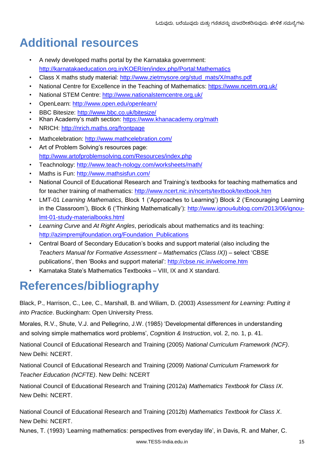# **Additional resources**

- A newly developed maths portal by the Karnataka government: http://karnatakaeducation.org.in/KOER/en/index.php/Portal:Mathematics
- Class X maths study material: http://www.zietmysore.org/stud\_mats/X/maths.pdf
- National Centre for Excellence in the Teaching of Mathematics: https://www.ncetm.org.uk/
- National STEM Centre: http://www.nationalstemcentre.org.uk/
- OpenLearn: http://www.open.edu/openlearn/
- BBC Bitesize: http://www.bbc.co.uk/bitesize/
- Khan Academy's math section: https://www.khanacademy.org/math
- NRICH: http://nrich.maths.org/frontpage
- Mathcelebration: http://www.mathcelebration.com/
- Art of Problem Solving's resources page: http://www.artofproblemsolving.com/Resources/index.php
- Teachnology: http://www.teach-nology.com/worksheets/math/
- Maths is Fun: http://www.mathsisfun.com/
- National Council of Educational Research and Training's textbooks for teaching mathematics and for teacher training of mathematics: http://www.ncert.nic.in/ncerts/textbook/textbook.htm
- LMT-01 *Learning Mathematics*, Block 1 ('Approaches to Learning') Block 2 ('Encouraging Learning in the Classroom'), Block 6 ('Thinking Mathematically'): http://www.ignou4ublog.com/2013/06/ignoulmt-01-study-materialbooks.html
- *Learning Curve* and *At Right Angles*, periodicals about mathematics and its teaching: http://azimpremjifoundation.org/Foundation\_Publications
- Central Board of Secondary Education's books and support material (also including the *Teachers Manual for Formative Assessment – Mathematics (Class IX)*) – select 'CBSE publications', then 'Books and support material': http://cbse.nic.in/welcome.htm
- Karnataka State's Mathematics Textbooks VIII, IX and X standard.

# **References/bibliography**

Black, P., Harrison, C., Lee, C., Marshall, B. and Wiliam, D. (2003) *Assessment for Learning: Putting it into Practice*. Buckingham: Open University Press.

Morales, R.V., Shute, V.J. and Pellegrino, J.W. (1985) 'Developmental differences in understanding and solving simple mathematics word problems', *Cognition & Instruction*, vol. 2, no. 1, p. 41.

National Council of Educational Research and Training (2005) *National Curriculum Framework (NCF)*. New Delhi: NCERT.

National Council of Educational Research and Training (2009) *National Curriculum Framework for Teacher Education (NCFTE)*. New Delhi: NCERT

National Council of Educational Research and Training (2012a) *Mathematics Textbook for Class IX*. New Delhi: NCERT.

National Council of Educational Research and Training (2012b) *Mathematics Textbook for Class X*. New Delhi: NCERT.

Nunes, T. (1993) 'Learning mathematics: perspectives from everyday life', in Davis, R. and Maher, C.